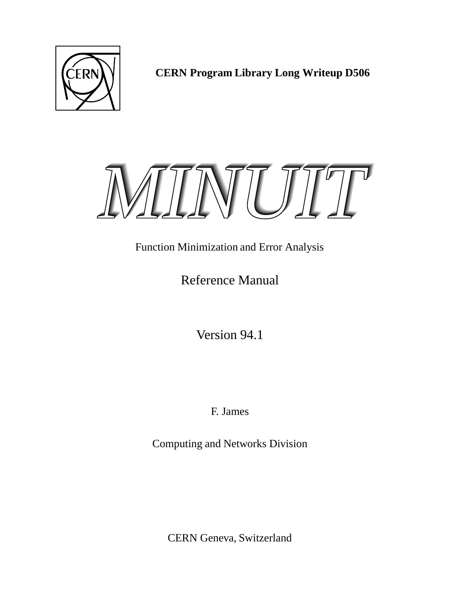

**CERN Program Library Long Writeup D506**



# Function Minimization and Error Analysis

Reference Manual

Version 94.1

F. James

Computing and Networks Division

CERN Geneva, Switzerland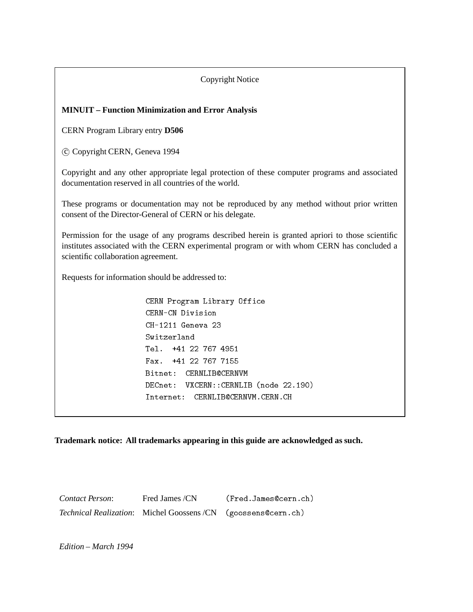### Copyright Notice

### **MINUIT – Function Minimization and Error Analysis**

CERN Program Library entry **D506**

c Copyright CERN, Geneva 1994

Copyright and any other appropriate legal protection of these computer programs and associated documentation reserved in all countries of the world.

These programs or documentation may not be reproduced by any method without prior written consent of the Director-General of CERN or his delegate.

Permission for the usage of any programs described herein is granted apriori to those scientific institutes associated with the CERN experimental program or with whom CERN has concluded a scientific collaboration agreement.

Requests for information should be addressed to:

CERN Program Library Office CERN-CN Division CH-1211 Geneva 23 Tel. +41 22 767 4951 Fax. +41 22 767 7155 Bitnet: CERNLIB@CERNVM DECnet: VXCERN::CERNLIB (node 22.190) Internet: CERNLIB@CERNVM.CERN.CH

**Trademark notice: All trademarks appearing in this guide are acknowledged as such.**

*Contact Person*: Fred James /CN (Fred.James@cern.ch) *Technical Realization*: Michel Goossens /CN (goossens@cern.ch)

*Edition – March 1994*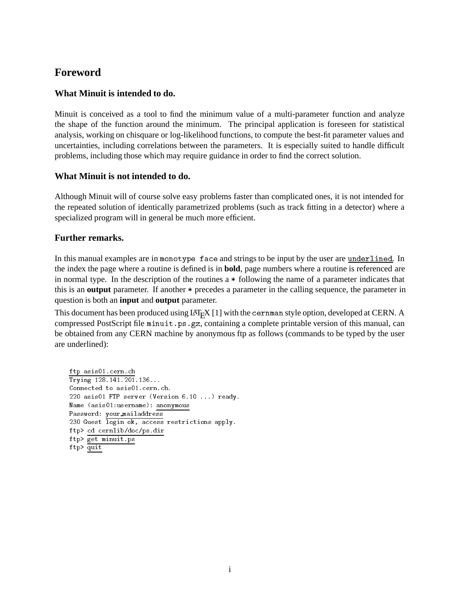# **Foreword**

## **What Minuit is intended to do.**

Minuit is conceived as a tool to find the minimum value of a multi-parameter function and analyze the shape of the function around the minimum. The principal application is foreseen for statistical analysis, working on chisquare or log-likelihood functions, to compute the best-fit parameter values and uncertainties, including correlations between the parameters. It is especially suited to handle difficult problems, including those which may require guidance in order to find the correct solution.

## **What Minuit is not intended to do.**

Although Minuit will of course solve easy problems faster than complicated ones, it is not intended for the repeated solution of identically parametrized problems (such as track fitting in a detector) where a specialized program will in general be much more efficient.

## **Further remarks.**

In this manual examples are in monotype face and strings to be input by the user are underlined. In the index the page where a routine is defined is in **bold**, page numbers where a routine is referenced are in normal type. In the description of the routines a \* following the name of a parameter indicates that this is an **output** parameter. If another \* precedes a parameter in the calling sequence, the parameter in question is both an **input** and **output** parameter.

This document has been produced using LAT<sub>E</sub>X [1] with the cernman style option, developed at CERN. A compressed PostScript file minuit.ps.gz, containing a complete printable version of this manual, can be obtained from any CERN machine by anonymous ftp as follows (commands to be typed by the user are underlined):

```
ftp asis01.cern.ch
Trying 128.141.201.136...
Connected to asis01.cern.ch.
220 asis01 FTP server (Version 6.10 ...) ready.
Name (asis01:username): anonymous
Password: your mailaddress
230 Guest login ok, access restrictions apply.
ftp> cd cernlib/doc/ps.dir
ftp> get minuit.ps
ftp> quit
```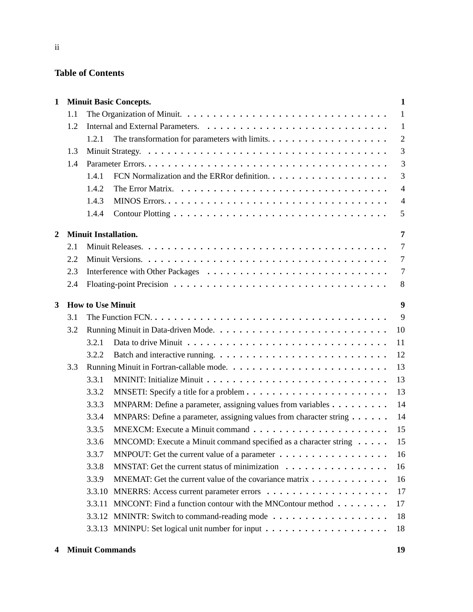## **Table of Contents**

| $\mathbf{1}$   |     | <b>Minuit Basic Concepts.</b>                                               | $\mathbf{1}$   |
|----------------|-----|-----------------------------------------------------------------------------|----------------|
|                | 1.1 |                                                                             | -1             |
|                | 1.2 |                                                                             | $\mathbf{1}$   |
|                |     | 1.2.1                                                                       | $\overline{2}$ |
|                | 1.3 |                                                                             | 3              |
|                | 1.4 |                                                                             | 3              |
|                |     | 1.4.1                                                                       | 3              |
|                |     | 1.4.2                                                                       | $\overline{4}$ |
|                |     | 1.4.3                                                                       | $\overline{4}$ |
|                |     | 1.4.4                                                                       | 5              |
| $\overline{2}$ |     | <b>Minuit Installation.</b>                                                 | $\overline{7}$ |
|                | 2.1 |                                                                             | $\overline{7}$ |
|                | 2.2 |                                                                             | $\overline{7}$ |
|                | 2.3 |                                                                             | $\overline{7}$ |
|                | 2.4 |                                                                             | 8              |
| 3              |     | <b>How to Use Minuit</b>                                                    | 9              |
|                | 3.1 |                                                                             | 9              |
|                | 3.2 |                                                                             | 10             |
|                |     | 3.2.1                                                                       | 11             |
|                |     | 3.2.2                                                                       | 12             |
|                | 3.3 |                                                                             | 13             |
|                |     | 3.3.1                                                                       | 13             |
|                |     | 3.3.2                                                                       | 13             |
|                |     | MNPARM: Define a parameter, assigning values from variables<br>3.3.3        | 14             |
|                |     | MNPARS: Define a parameter, assigning values from character string<br>3.3.4 | 14             |
|                |     | 3.3.5                                                                       | 15             |
|                |     | MNCOMD: Execute a Minuit command specified as a character string<br>3.3.6   | 15             |
|                |     | 3.3.7<br>MNPOUT: Get the current value of a parameter                       | 16             |
|                |     | 3.3.8<br>MNSTAT: Get the current status of minimization                     | 16             |
|                |     | MNEMAT: Get the current value of the covariance matrix<br>3.3.9             | 16             |
|                |     | 3.3.10                                                                      | 17             |
|                |     | MNCONT: Find a function contour with the MNContour method<br>3.3.11         | 17             |
|                |     | 3.3.12                                                                      | 18             |
|                |     |                                                                             | 18             |
|                |     |                                                                             |                |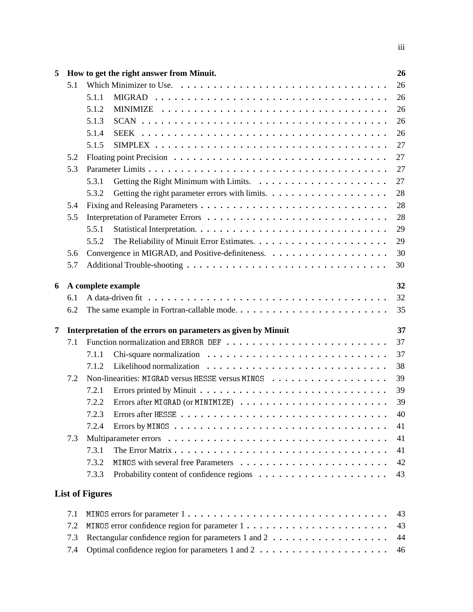| 5 |     | How to get the right answer from Minuit.                      | 26 |  |  |  |  |  |
|---|-----|---------------------------------------------------------------|----|--|--|--|--|--|
|   | 5.1 |                                                               | 26 |  |  |  |  |  |
|   |     | 5.1.1                                                         | 26 |  |  |  |  |  |
|   |     | 5.1.2                                                         | 26 |  |  |  |  |  |
|   |     | 5.1.3                                                         | 26 |  |  |  |  |  |
|   |     | 5.1.4                                                         | 26 |  |  |  |  |  |
|   |     | 5.1.5                                                         | 27 |  |  |  |  |  |
|   | 5.2 |                                                               | 27 |  |  |  |  |  |
|   | 5.3 |                                                               | 27 |  |  |  |  |  |
|   |     | 5.3.1                                                         | 27 |  |  |  |  |  |
|   |     | 5.3.2                                                         | 28 |  |  |  |  |  |
|   | 5.4 |                                                               | 28 |  |  |  |  |  |
|   | 5.5 |                                                               | 28 |  |  |  |  |  |
|   |     | 5.5.1                                                         | 29 |  |  |  |  |  |
|   |     | 5.5.2                                                         | 29 |  |  |  |  |  |
|   | 5.6 |                                                               | 30 |  |  |  |  |  |
|   | 5.7 |                                                               | 30 |  |  |  |  |  |
| 6 |     | A complete example                                            | 32 |  |  |  |  |  |
|   | 6.1 | 32                                                            |    |  |  |  |  |  |
|   | 6.2 |                                                               | 35 |  |  |  |  |  |
| 7 |     | Interpretation of the errors on parameters as given by Minuit | 37 |  |  |  |  |  |
|   | 7.1 |                                                               | 37 |  |  |  |  |  |
|   |     | 7.1.1                                                         | 37 |  |  |  |  |  |
|   |     | 7.1.2                                                         | 38 |  |  |  |  |  |
|   | 7.2 |                                                               | 39 |  |  |  |  |  |
|   |     | 7.2.1                                                         | 39 |  |  |  |  |  |
|   |     | 7.2.2                                                         | 39 |  |  |  |  |  |
|   |     | 723<br>Errors after HESSE                                     | 40 |  |  |  |  |  |
|   |     | 7.2.4                                                         | 41 |  |  |  |  |  |
|   | 7.3 |                                                               | 41 |  |  |  |  |  |
|   |     | 7.3.1                                                         | 41 |  |  |  |  |  |
|   |     | 7.3.2                                                         | 42 |  |  |  |  |  |
|   |     | 7.3.3                                                         | 43 |  |  |  |  |  |
|   |     | <b>List of Figures</b>                                        |    |  |  |  |  |  |
|   | 7.1 |                                                               | 43 |  |  |  |  |  |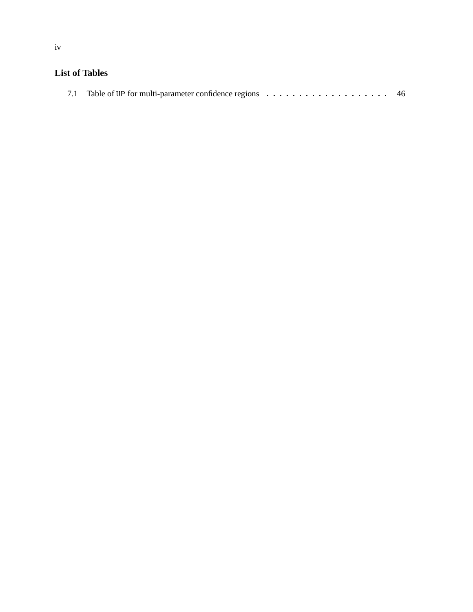# **List of Tables**

|--|--|--|--|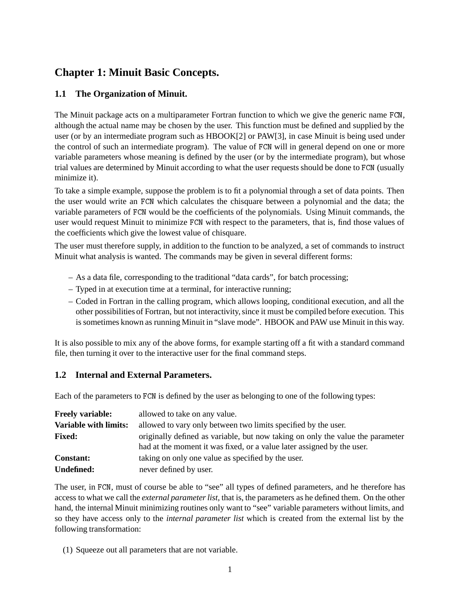# **Chapter 1: Minuit Basic Concepts.**

## **1.1 The Organization of Minuit.**

The Minuit package acts on a multiparameter Fortran function to which we give the generic name FCN, although the actual name may be chosen by the user. This function must be defined and supplied by the user (or by an intermediate program such as HBOOK[2] or PAW[3], in case Minuit is being used under the control of such an intermediate program). The value of FCN will in general depend on one or more variable parameters whose meaning is defined by the user (or by the intermediate program), but whose trial values are determined by Minuit according to what the user requests should be done to FCN (usually minimize it).

To take a simple example, suppose the problem is to fit a polynomial through a set of data points. Then the user would write an FCN which calculates the chisquare between a polynomial and the data; the variable parameters of FCN would be the coefficients of the polynomials. Using Minuit commands, the user would request Minuit to minimize FCN with respect to the parameters, that is, find those values of the coefficients which give the lowest value of chisquare.

The user must therefore supply, in addition to the function to be analyzed, a set of commands to instruct Minuit what analysis is wanted. The commands may be given in several different forms:

- As a data file, corresponding to the traditional "data cards", for batch processing;
- Typed in at execution time at a terminal, for interactive running;
- Coded in Fortran in the calling program, which allows looping, conditional execution, and all the other possibilities of Fortran, but not interactivity, since it must be compiled before execution. This is sometimes known as running Minuit in "slave mode". HBOOK and PAW use Minuit in this way.

It is also possible to mix any of the above forms, for example starting off a fit with a standard command file, then turning it over to the interactive user for the final command steps.

## **1.2 Internal and External Parameters.**

Each of the parameters to FCN is defined by the user as belonging to one of the following types:

| <b>Freely variable:</b>      | allowed to take on any value.                                                  |
|------------------------------|--------------------------------------------------------------------------------|
| <b>Variable with limits:</b> | allowed to vary only between two limits specified by the user.                 |
| <b>Fixed:</b>                | originally defined as variable, but now taking on only the value the parameter |
|                              | had at the moment it was fixed, or a value later assigned by the user.         |
| <b>Constant:</b>             | taking on only one value as specified by the user.                             |
| <b>Undefined:</b>            | never defined by user.                                                         |

The user, in FCN, must of course be able to "see" all types of defined parameters, and he therefore has access to what we call the *external parameter list*, that is, the parameters as he defined them. On the other hand, the internal Minuit minimizing routines only want to "see" variable parameters without limits, and so they have access only to the *internal parameter list* which is created from the external list by the following transformation:

(1) Squeeze out all parameters that are not variable.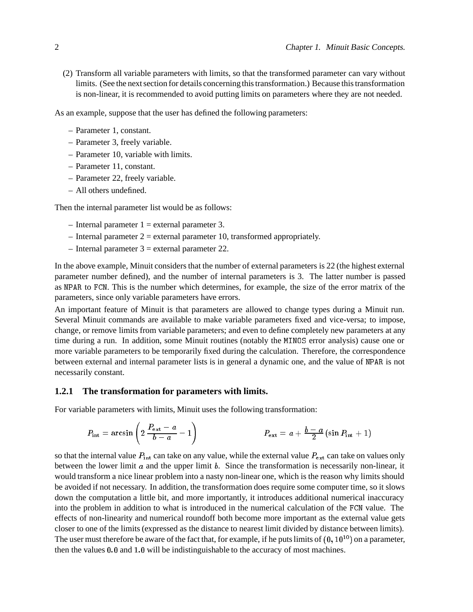(2) Transform all variable parameters with limits, so that the transformed parameter can vary without limits. (See the next section for details concerning this transformation.) Because this transformation is non-linear, it is recommended to avoid putting limits on parameters where they are not needed.

As an example, suppose that the user has defined the following parameters:

- Parameter 1, constant.
- Parameter 3, freely variable.
- Parameter 10, variable with limits.
- Parameter 11, constant.
- Parameter 22, freely variable.
- All others undefined.

Then the internal parameter list would be as follows:

- $-$  Internal parameter 1 = external parameter 3.
- $-$  Internal parameter 2 = external parameter 10, transformed appropriately.
- $-$  Internal parameter 3  $=$  external parameter 22.

In the above example, Minuit considers that the number of external parameters is 22 (the highest external parameter number defined), and the number of internal parameters is 3. The latter number is passed as NPAR to FCN. This is the number which determines, for example, the size of the error matrix of the parameters, since only variable parameters have errors.

An important feature of Minuit is that parameters are allowed to change types during a Minuit run. Several Minuit commands are available to make variable parameters fixed and vice-versa; to impose, change, or remove limits from variable parameters; and even to define completely new parameters at any time during a run. In addition, some Minuit routines (notably the MINOS error analysis) cause one or more variable parameters to be temporarily fixed during the calculation. Therefore, the correspondence between external and internal parameter lists is in general a dynamic one, and the value of NPAR is not necessarily constant.

### **1.2.1 The transformation for parameters with limits.**

For variable parameters with limits, Minuit uses the following transformation:

$$
P_{\rm int} = \arcsin\left(2\,\frac{P_{\rm ext}-a}{b-a}-1\right) \hspace{2cm} P_{\rm ext} = a + \frac{b-a}{2}\left(\sin P_{\rm int}+1\right)
$$

so that the internal value  $P_{\text{int}}$  can take on any value, while the external value  $P_{\text{ext}}$  can take on values only between the lower limit  $a$  and the upper limit  $b$ . Since the transformation is necessarily non-linear, it would transform a nice linear problem into a nasty non-linear one, which is the reason why limits should be avoided if not necessary. In addition, the transformation does require some computer time, so it slows down the computation a little bit, and more importantly, it introduces additional numerical inaccuracy into the problem in addition to what is introduced in the numerical calculation of the FCN value. The effects of non-linearity and numerical roundoff both become more important as the external value gets closer to one of the limits (expressed as the distance to nearest limit divided by distance between limits). The user must therefore be aware of the fact that, for example, if he puts limits of  $(0, 10^{10})$  on a parameter, then the values 0:0 and 1:0 will be indistinguishable to the accuracy of most machines.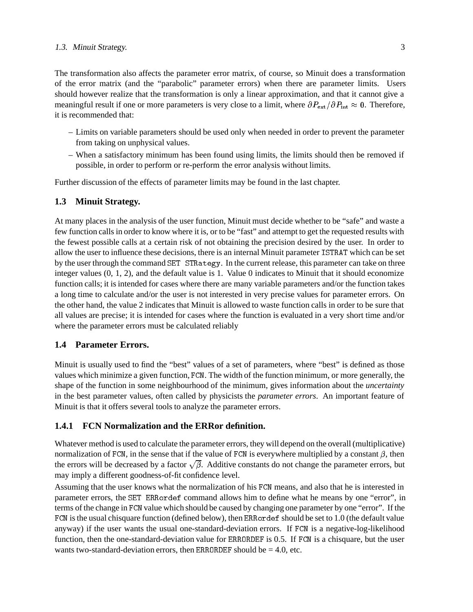#### 1.3. Minuit Strategy. 3

The transformation also affects the parameter error matrix, of course, so Minuit does a transformation of the error matrix (and the "parabolic" parameter errors) when there are parameter limits. Users should however realize that the transformation is only a linear approximation, and that it cannot give a meaningful result if one or more parameters is very close to a limit, where  $\partial P_{ext}/\partial P_{int} \approx 0$ . Therefore, it is recommended that:

- Limits on variable parameters should be used only when needed in order to prevent the parameter from taking on unphysical values.
- When a satisfactory minimum has been found using limits, the limits should then be removed if possible, in order to perform or re-perform the error analysis without limits.

Further discussion of the effects of parameter limits may be found in the last chapter.

### **1.3 Minuit Strategy.**

At many places in the analysis of the user function, Minuit must decide whether to be "safe" and waste a few function calls in order to know where it is, or to be "fast" and attempt to get the requested results with the fewest possible calls at a certain risk of not obtaining the precision desired by the user. In order to allow the user to influence these decisions, there is an internal Minuit parameter ISTRAT which can be set by the user through the command SET STRategy. In the current release, this parameter can take on three integer values (0, 1, 2), and the default value is 1. Value 0 indicates to Minuit that it should economize function calls; it is intended for cases where there are many variable parameters and/or the function takes a long time to calculate and/or the user is not interested in very precise values for parameter errors. On the other hand, the value 2 indicates that Minuit is allowed to waste function calls in order to be sure that all values are precise; it is intended for cases where the function is evaluated in a very short time and/or where the parameter errors must be calculated reliably

### **1.4 Parameter Errors.**

Minuit is usually used to find the "best" values of a set of parameters, where "best" is defined as those values which minimize a given function, FCN. The width of the function minimum, or more generally, the shape of the function in some neighbourhood of the minimum, gives information about the *uncertainty* in the best parameter values, often called by physicists the *parameter errors*. An important feature of Minuit is that it offers several tools to analyze the parameter errors.

## **1.4.1 FCN Normalization and the ERRor definition.**

Whatever method is used to calculate the parameter errors, they will depend on the overall (multiplicative) normalization of FCN, in the sense that if the value of FCN is everywhere multiplied by a constant  $\beta$ , then the errors will be decreased by a factor  $\sqrt{\beta}$ . Additive constants do not change the parameter errors, but may imply a different goodness-of-fit confidence level.

Assuming that the user knows what the normalization of his FCN means, and also that he is interested in parameter errors, the SET ERRordef command allows him to define what he means by one "error", in terms of the change in FCN value which should be caused by changing one parameter by one "error". If the FCN is the usual chisquare function (defined below), then ERRordef should be set to 1.0 (the default value anyway) if the user wants the usual one-standard-deviation errors. If FCN is a negative-log-likelihood function, then the one-standard-deviation value for ERRORDEF is 0.5. If FCN is a chisquare, but the user wants two-standard-deviation errors, then ERRORDEF should be  $= 4.0$ , etc.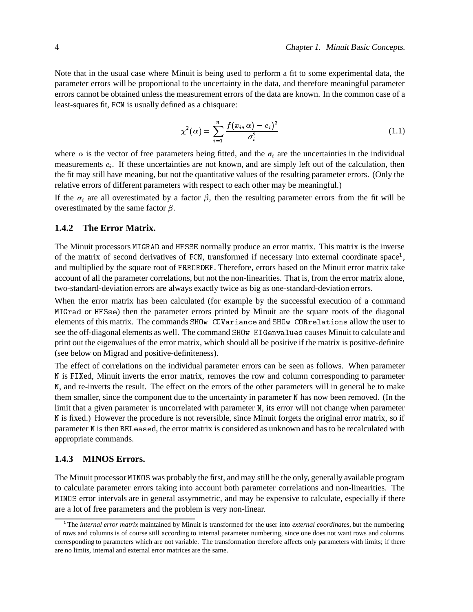Note that in the usual case where Minuit is being used to perform a fit to some experimental data, the parameter errors will be proportional to the uncertainty in the data, and therefore meaningful parameter errors cannot be obtained unless the measurement errors of the data are known. In the common case of a least-squares fit, FCN is usually defined as a chisquare:

$$
\chi^{2}(\alpha) = \sum_{i=1}^{n} \frac{f(x_i, \alpha) - e_i^{2}}{\sigma_i^{2}}
$$
\n(1.1)

where  $\alpha$  is the vector of free parameters being fitted, and the  $\sigma_i$  are the uncertainties in the individual measurements  $e_i$ . If these uncertainties are not known, and are simply left out of the calculation, then the fit may still have meaning, but not the quantitative values of the resulting parameter errors. (Only the relative errors of different parameters with respect to each other may be meaningful.)

If the  $\sigma_i$  are all overestimated by a factor  $\beta$ , then the resulting parameter errors from the fit will be overestimated by the same factor  $\beta$ .

#### **1.4.2 The Error Matrix.**

The Minuit processors MIGRAD and HESSE normally produce an error matrix. This matrix is the inverse of the matrix of second derivatives of FCN, transformed if necessary into external coordinate space<sup>1</sup>, and multiplied by the square root of ERRORDEF. Therefore, errors based on the Minuit error matrix take account of all the parameter correlations, but not the non-linearities. That is, from the error matrix alone, two-standard-deviation errors are always exactly twice as big as one-standard-deviation errors.

When the error matrix has been calculated (for example by the successful execution of a command MIGrad or HESse) then the parameter errors printed by Minuit are the square roots of the diagonal elements of this matrix. The commands SHOw COVariance and SHOw CORrelations allow the user to see the off-diagonal elements as well. The command SHOw EIGenvalues causes Minuit to calculate and print out the eigenvalues of the error matrix, which should all be positive if the matrix is positive-definite (see below on Migrad and positive-definiteness).

The effect of correlations on the individual parameter errors can be seen as follows. When parameter N is FIXed, Minuit inverts the error matrix, removes the row and column corresponding to parameter N, and re-inverts the result. The effect on the errors of the other parameters will in general be to make them smaller, since the component due to the uncertainty in parameter <sup>N</sup> has now been removed. (In the limit that a given parameter is uncorrelated with parameter N, its error will not change when parameter N is fixed.) However the procedure is not reversible, since Minuit forgets the original error matrix, so if parameter N is then RELeased, the error matrix is considered as unknown and has to be recalculated with appropriate commands.

### **1.4.3 MINOS Errors.**

The Minuit processor MINOS was probably the first, and may still be the only, generally available program to calculate parameter errors taking into account both parameter correlations and non-linearities. The MINOS error intervals are in general assymmetric, and may be expensive to calculate, especially if there are a lot of free parameters and the problem is very non-linear.

<sup>1</sup> The *internal error matrix* maintained by Minuit is transformed for the user into *external coordinates*, but the numbering of rows and columns is of course still according to internal parameter numbering, since one does not want rows and columns corresponding to parameters which are not variable. The transformation therefore affects only parameters with limits; if there are no limits, internal and external error matrices are the same.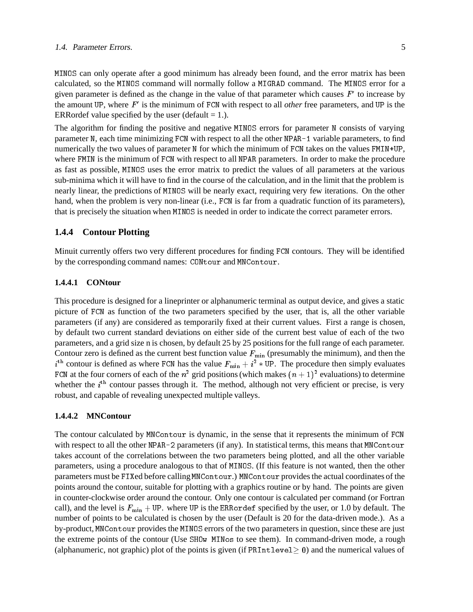### 1.4. Parameter Errors. 5

MINOS can only operate after a good minimum has already been found, and the error matrix has been calculated, so the MINOS command will normally follow a MIGRAD command. The MINOS error for a given parameter is defined as the change in the value of that parameter which causes  $F'$  to increase by the amount UP, where  $F'$  is the minimum of FCN with respect to all *other* free parameters, and UP is the ERRordef value specified by the user (default  $= 1$ .).

The algorithm for finding the positive and negative MINOS errors for parameter N consists of varying parameter N, each time minimizing FCN with respect to all the other NPAR-1 variable parameters, to find numerically the two values of parameter N for which the minimum of FCN takes on the values FMIN+UP, where FMIN is the minimum of FCN with respect to all NPAR parameters. In order to make the procedure as fast as possible, MINOS uses the error matrix to predict the values of all parameters at the various sub-minima which it will have to find in the course of the calculation, and in the limit that the problem is nearly linear, the predictions of MINOS will be nearly exact, requiring very few iterations. On the other hand, when the problem is very non-linear (i.e., FCN is far from a quadratic function of its parameters), that is precisely the situation when MINOS is needed in order to indicate the correct parameter errors.

#### **1.4.4 Contour Plotting**

Minuit currently offers two very different procedures for finding FCN contours. They will be identified by the corresponding command names: CONtour and MNContour.

#### **1.4.4.1 CONtour**

This procedure is designed for a lineprinter or alphanumeric terminal as output device, and gives a static picture of FCN as function of the two parameters specified by the user, that is, all the other variable parameters (if any) are considered as temporarily fixed at their current values. First a range is chosen, by default two current standard deviations on either side of the current best value of each of the two parameters, and a grid size n is chosen, by default 25 by 25 positions for the full range of each parameter. Contour zero is defined as the current best function value  $F_{\text{min}}$  (presumably the minimum), and then the  $i<sup>th</sup>$  contour is defined as where FCN has the value  $F_{\min} + i^2 * \text{UP}$ . The procedure then simply evaluates FCN at the four corners of each of the  $n^2$  grid positions (which makes  $(n + 1)^2$  evaluations) to determine whether the  $i<sup>th</sup>$  contour passes through it. The method, although not very efficient or precise, is very robust, and capable of revealing unexpected multiple valleys.

#### **1.4.4.2 MNContour**

The contour calculated by MNContour is dynamic, in the sense that it represents the minimum of FCN with respect to all the other NPAR-2 parameters (if any). In statistical terms, this means that MNContour takes account of the correlations between the two parameters being plotted, and all the other variable parameters, using a procedure analogous to that of MINOS. (If this feature is not wanted, then the other parameters must be FIXed before calling MNContour.) MNContour provides the actual coordinates of the points around the contour, suitable for plotting with a graphics routine or by hand. The points are given in counter-clockwise order around the contour. Only one contour is calculated per command (or Fortran call), and the level is  $F_{\text{min}} + \text{UP}$ . where UP is the ERRordef specified by the user, or 1.0 by default. The number of points to be calculated is chosen by the user (Default is 20 for the data-driven mode.). As a by-product, MNContour provides the MINOS errors of the two parameters in question, since these are just the extreme points of the contour (Use SHOw MINos to see them). In command-driven mode, a rough (alphanumeric, not graphic) plot of the points is given (if PRIntlevel  $> 0$ ) and the numerical values of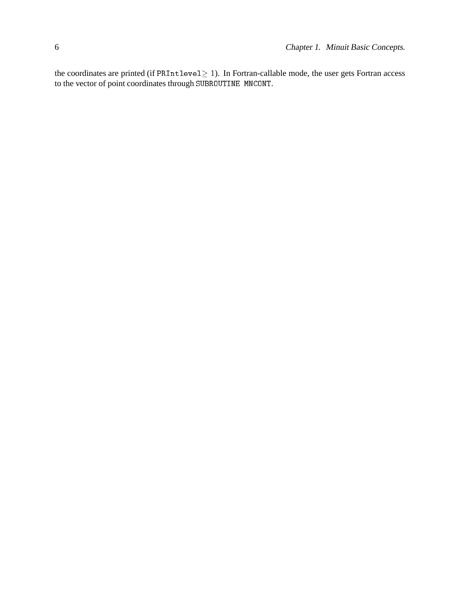the coordinates are printed (if  $\texttt{PRIntlevel} \geq 1$ ). In Fortran-callable mode, the user gets Fortran access to the vector of point coordinates through SUBROUTINE MNCONT.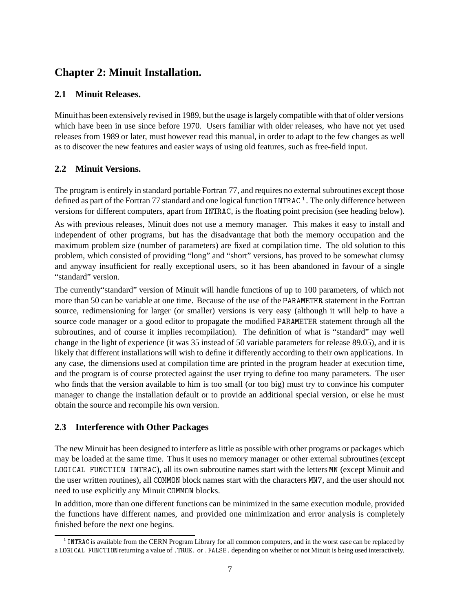# **Chapter 2: Minuit Installation.**

## **2.1 Minuit Releases.**

Minuit has been extensively revised in 1989, but the usage is largely compatible with that of older versions which have been in use since before 1970. Users familiar with older releases, who have not yet used releases from 1989 or later, must however read this manual, in order to adapt to the few changes as well as to discover the new features and easier ways of using old features, such as free-field input.

## **2.2 Minuit Versions.**

The program is entirely in standard portable Fortran 77, and requires no external subroutines except those defined as part of the Fortran 77 standard and one logical function INTRAC<sup>1</sup>. The only difference between versions for different computers, apart from INTRAC, is the floating point precision (see heading below).

As with previous releases, Minuit does not use a memory manager. This makes it easy to install and independent of other programs, but has the disadvantage that both the memory occupation and the maximum problem size (number of parameters) are fixed at compilation time. The old solution to this problem, which consisted of providing "long" and "short" versions, has proved to be somewhat clumsy and anyway insufficient for really exceptional users, so it has been abandoned in favour of a single "standard" version.

The currently"standard" version of Minuit will handle functions of up to 100 parameters, of which not more than 50 can be variable at one time. Because of the use of the PARAMETER statement in the Fortran source, redimensioning for larger (or smaller) versions is very easy (although it will help to have a source code manager or a good editor to propagate the modified PARAMETER statement through all the subroutines, and of course it implies recompilation). The definition of what is "standard" may well change in the light of experience (it was 35 instead of 50 variable parameters for release 89.05), and it is likely that different installations will wish to define it differently according to their own applications. In any case, the dimensions used at compilation time are printed in the program header at execution time, and the program is of course protected against the user trying to define too many parameters. The user who finds that the version available to him is too small (or too big) must try to convince his computer manager to change the installation default or to provide an additional special version, or else he must obtain the source and recompile his own version.

## **2.3 Interference with Other Packages**

The new Minuit has been designed to interfere as little as possible with other programs or packages which may be loaded at the same time. Thus it uses no memory manager or other external subroutines (except LOGICAL FUNCTION INTRAC), all its own subroutine names start with the letters MN (except Minuit and the user written routines), all COMMON block names start with the characters MN7, and the user should not need to use explicitly any Minuit COMMON blocks.

In addition, more than one different functions can be minimized in the same execution module, provided the functions have different names, and provided one minimization and error analysis is completely finished before the next one begins.

<sup>&</sup>lt;sup>1</sup> INTRAC is available from the CERN Program Library for all common computers, and in the worst case can be replaced by a LOGICAL FUNCTION returning a value of .TRUE. or .FALSE. depending on whether or not Minuit is being used interactively.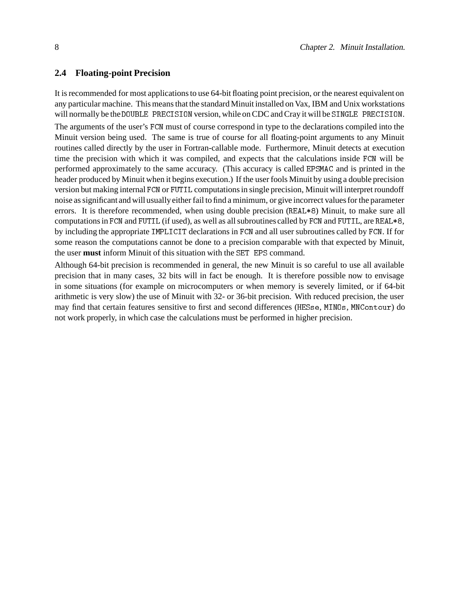#### **2.4 Floating-point Precision**

It is recommended for most applications to use 64-bit floating point precision, or the nearest equivalent on any particular machine. This means that the standard Minuit installed on Vax, IBM and Unix workstations will normally be the DOUBLE PRECISION version, while on CDC and Cray it will be SINGLE PRECISION.

The arguments of the user's FCN must of course correspond in type to the declarations compiled into the Minuit version being used. The same is true of course for all floating-point arguments to any Minuit routines called directly by the user in Fortran-callable mode. Furthermore, Minuit detects at execution time the precision with which it was compiled, and expects that the calculations inside FCN will be performed approximately to the same accuracy. (This accuracy is called EPSMAC and is printed in the header produced by Minuit when it begins execution.) If the user fools Minuit by using a double precision version but making internal FCN or FUTIL computations in single precision, Minuit will interpret roundoff noise as significant and will usually either fail to find a minimum, or give incorrect values for the parameter errors. It is therefore recommended, when using double precision (REAL\*8) Minuit, to make sure all computations in FCN and FUTIL (if used), as well as all subroutines called by FCN and FUTIL, are REAL\*8, by including the appropriate IMPLICIT declarations in FCN and all user subroutines called by FCN. If for some reason the computations cannot be done to a precision comparable with that expected by Minuit, the user **must** inform Minuit of this situation with the SET EPS command.

Although 64-bit precision is recommended in general, the new Minuit is so careful to use all available precision that in many cases, 32 bits will in fact be enough. It is therefore possible now to envisage in some situations (for example on microcomputers or when memory is severely limited, or if 64-bit arithmetic is very slow) the use of Minuit with 32- or 36-bit precision. With reduced precision, the user may find that certain features sensitive to first and second differences (HESse, MINOs, MNContour) do not work properly, in which case the calculations must be performed in higher precision.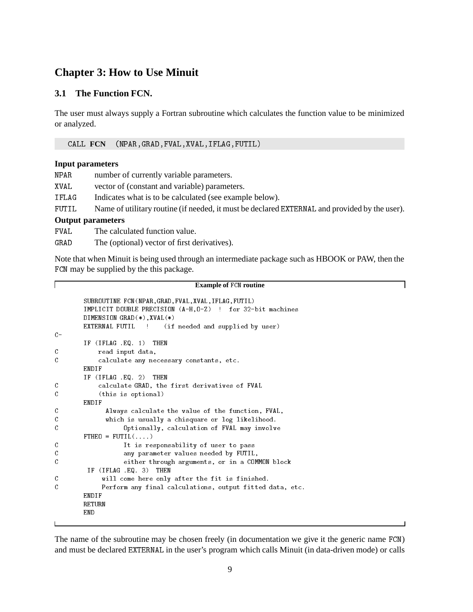## **Chapter 3: How to Use Minuit**

### **3.1 The Function FCN.**

The user must always supply a Fortran subroutine which calculates the function value to be minimized or analyzed.

CALL **FCN** (NPAR,GRAD,FVAL,XVAL,IFLAG,FUTIL)

#### **Input parameters**

Г

| NPAR  | number of currently variable parameters.                                                      |  |  |  |
|-------|-----------------------------------------------------------------------------------------------|--|--|--|
| XVAL  | vector of (constant and variable) parameters.                                                 |  |  |  |
| IFLAG | Indicates what is to be calculated (see example below).                                       |  |  |  |
| FUTIL | Name of utilitary routine (if needed, it must be declared EXTERNAL and provided by the user). |  |  |  |
|       | <b>Output parameters</b>                                                                      |  |  |  |
| FVAL. | The calculated function value.                                                                |  |  |  |
| GRAD  | The (optional) vector of first derivatives).                                                  |  |  |  |

Note that when Minuit is being used through an intermediate package such as HBOOK or PAW, then the FCN may be supplied by the this package.

#### **Example of** FCN **routine**

```
SUBROUTINE FCN (NPAR, GRAD, FVAL, XVAL, IFLAG, FUTIL)
         IMPLICIT DOUBLE PRECISION (A-H,O-Z) ! for 32-bit machines
         DIMENSION GRAD(*),XVAL(*)
         EXTERNAL FUTIL ! (if needed and supplied by user)
C -IF (IFLAG .EQ. 1) THEN
C read input data,
\mathcal{C}C calculate any necessary constants, etc.
        ENDIF
         IF (IFLAG .EQ. 2) THEN
\mathcal{C}C calculate GRAD, the first derivatives of FVAL
C (this is optional)
        ENDIF
\mathcal{C}Always calculate the value of the function, FVAL,
\mathcal{C}which is usually a chisquare or log likelihood.
\mathcal{C}Optionally, calculation of FVAL may involve
         FTHEO = FUTIL(......)\mathcal{C}It is responsability of user to pass
\mathcal{C}any parameter values needed by FUTIL,
\mathcal{C}either through arguments, or in a COMMON block
         IF (IFLAG .EQ. 3) THEN
\mathcal{C}_{\mathcal{C}}will come here only after the fit is finished.
C
              Perform any final calculations, output fitted data, etc.
         ENDIF
        RETURN
        END
```
The name of the subroutine may be chosen freely (in documentation we give it the generic name FCN) and must be declared EXTERNAL in the user's program which calls Minuit (in data-driven mode) or calls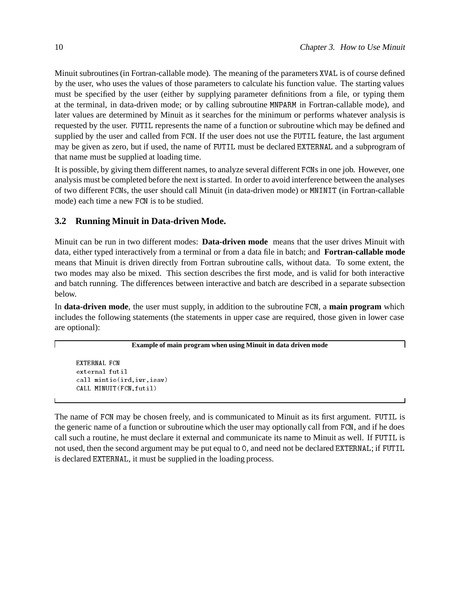Minuit subroutines (in Fortran-callable mode). The meaning of the parameters XVAL is of course defined by the user, who uses the values of those parameters to calculate his function value. The starting values must be specified by the user (either by supplying parameter definitions from a file, or typing them at the terminal, in data-driven mode; or by calling subroutine MNPARM in Fortran-callable mode), and later values are determined by Minuit as it searches for the minimum or performs whatever analysis is requested by the user. FUTIL represents the name of a function or subroutine which may be defined and supplied by the user and called from FCN. If the user does not use the FUTIL feature, the last argument may be given as zero, but if used, the name of FUTIL must be declared EXTERNAL and a subprogram of that name must be supplied at loading time.

It is possible, by giving them different names, to analyze several different FCNs in one job. However, one analysis must be completed before the next is started. In order to avoid interference between the analyses of two different FCNs, the user should call Minuit (in data-driven mode) or MNINIT (in Fortran-callable mode) each time a new FCN is to be studied.

### **3.2 Running Minuit in Data-driven Mode.**

Minuit can be run in two different modes: **Data-driven mode** means that the user drives Minuit with data, either typed interactively from a terminal or from a data file in batch; and **Fortran-callable mode** means that Minuit is driven directly from Fortran subroutine calls, without data. To some extent, the two modes may also be mixed. This section describes the first mode, and is valid for both interactive and batch running. The differences between interactive and batch are described in a separate subsection below.

In **data-driven mode**, the user must supply, in addition to the subroutine FCN, a **main program** which includes the following statements (the statements in upper case are required, those given in lower case are optional):

**Example of main program when using Minuit in data driven mode**

```
EXTERNAL FCN
call mintio(ird,iwr,isav)
CALL MINUIT(FCN,futil)
```
The name of FCN may be chosen freely, and is communicated to Minuit as its first argument. FUTIL is the generic name of a function or subroutine which the user may optionally call from FCN, and if he does call such a routine, he must declare it external and communicate its name to Minuit as well. If FUTIL is not used, then the second argument may be put equal to <sup>0</sup>, and need not be declared EXTERNAL; if FUTIL is declared EXTERNAL, it must be supplied in the loading process.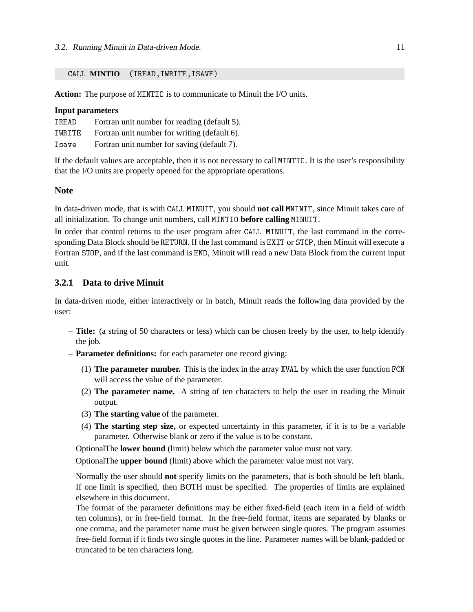CALL **MINTIO** (IREAD,IWRITE,ISAVE)

**Action:** The purpose of MINTIO is to communicate to Minuit the I/O units.

#### **Input parameters**

| TREAD  | Fortran unit number for reading (default 5). |
|--------|----------------------------------------------|
| IWRITE | Fortran unit number for writing (default 6). |
| Isave  | Fortran unit number for saving (default 7).  |

If the default values are acceptable, then it is not necessary to call MINTIO. It is the user's responsibility that the I/O units are properly opened for the appropriate operations.

#### **Note**

In data-driven mode, that is with CALL MINUIT, you should **not call** MNINIT, since Minuit takes care of all initialization. To change unit numbers, call MINTIO **before calling** MINUIT.

In order that control returns to the user program after CALL MINUIT, the last command in the corresponding Data Block should be RETURN. If the last command is EXIT or STOP, then Minuit will execute a Fortran STOP, and if the last command is END, Minuit will read a new Data Block from the current input unit.

### **3.2.1 Data to drive Minuit**

In data-driven mode, either interactively or in batch, Minuit reads the following data provided by the user:

- **Title:** (a string of 50 characters or less) which can be chosen freely by the user, to help identify the job.
- **Parameter definitions:** for each parameter one record giving:
	- (1) **The parameter number.** This is the index in the array XVAL by which the user function FCN will access the value of the parameter.
	- (2) **The parameter name.** A string of ten characters to help the user in reading the Minuit output.
	- (3) **The starting value** of the parameter.
	- (4) **The starting step size,** or expected uncertainty in this parameter, if it is to be a variable parameter. Otherwise blank or zero if the value is to be constant.

OptionalThe **lower bound** (limit) below which the parameter value must not vary.

OptionalThe **upper bound** (limit) above which the parameter value must not vary.

Normally the user should **not** specify limits on the parameters, that is both should be left blank. If one limit is specified, then BOTH must be specified. The properties of limits are explained elsewhere in this document.

The format of the parameter definitions may be either fixed-field (each item in a field of width ten columns), or in free-field format. In the free-field format, items are separated by blanks or one comma, and the parameter name must be given between single quotes. The program assumes free-field format if it finds two single quotes in the line. Parameter names will be blank-padded or truncated to be ten characters long.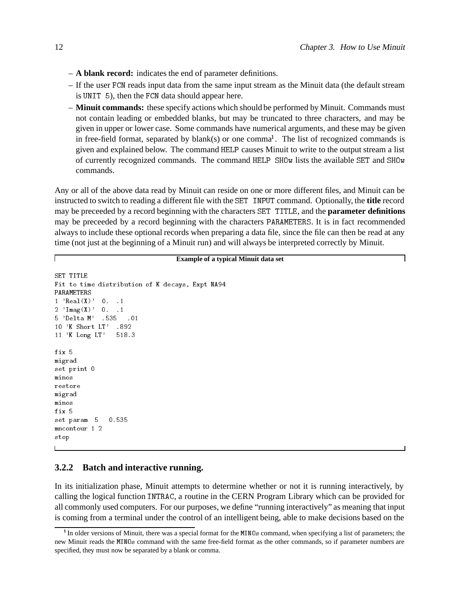- **A blank record:** indicates the end of parameter definitions.
- If the user FCN reads input data from the same input stream as the Minuit data (the default stream is UNIT 5), then the FCN data should appear here.
- **Minuit commands:** these specify actions which should be performed by Minuit. Commands must not contain leading or embedded blanks, but may be truncated to three characters, and may be given in upper or lower case. Some commands have numerical arguments, and these may be given in free-field format, separated by  $blank(s)$  or one comma<sup>1</sup>. The list of recognized commands is given and explained below. The command HELP causes Minuit to write to the output stream a list of currently recognized commands. The command HELP SHOw lists the available SET and SHOw commands.

Any or all of the above data read by Minuit can reside on one or more different files, and Minuit can be instructed to switch to reading a different file with the SET INPUT command. Optionally, the **title** record may be preceeded by a record beginning with the characters SET TITLE, and the **parameter definitions** may be preceeded by a record beginning with the characters PARAMETERS. It is in fact recommended always to include these optional records when preparing a data file, since the file can then be read at any time (not just at the beginning of a Minuit run) and will always be interpreted correctly by Minuit.

#### **Example of a typical Minuit data set**

```
SET TITLE
Fit to time distribution of K decays, Expt NA94
PARAMETERS
1 'Real(X)' 0. .12 'Imag(X)' 0. .1
5 'Delta M' .535 .01
10 'K Short LT' .892
11 'K Long LT' 518.3
fix 5
migrad
set print 0
minos
migrad
fix 5
set param 5 0.535
mncontour 1 2
stop
```
### **3.2.2 Batch and interactive running.**

In its initialization phase, Minuit attempts to determine whether or not it is running interactively, by calling the logical function INTRAC, a routine in the CERN Program Library which can be provided for all commonly used computers. For our purposes, we define "running interactively" as meaning that input is coming from a terminal under the control of an intelligent being, able to make decisions based on the

<sup>&</sup>lt;sup>1</sup> In older versions of Minuit, there was a special format for the MINOs command, when specifying a list of parameters; the new Minuit reads the MINOs command with the same free-field format as the other commands, so if parameter numbers are specified, they must now be separated by a blank or comma.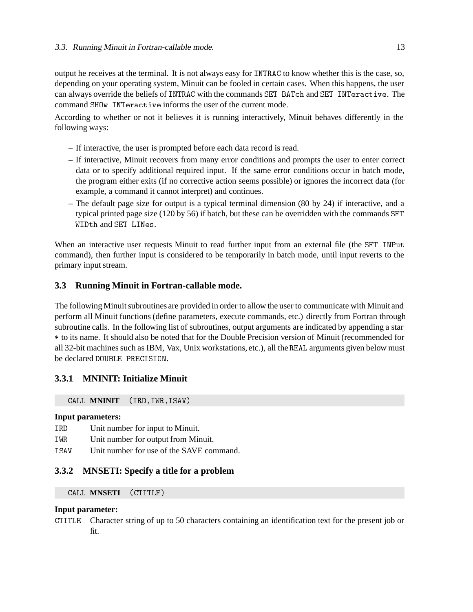output he receives at the terminal. It is not always easy for INTRAC to know whether this is the case, so, depending on your operating system, Minuit can be fooled in certain cases. When this happens, the user can always override the beliefs of INTRAC with the commands SET BATch and SET INTeractive. The command SHOw INTeractive informs the user of the current mode.

According to whether or not it believes it is running interactively, Minuit behaves differently in the following ways:

- If interactive, the user is prompted before each data record is read.
- If interactive, Minuit recovers from many error conditions and prompts the user to enter correct data or to specify additional required input. If the same error conditions occur in batch mode, the program either exits (if no corrective action seems possible) or ignores the incorrect data (for example, a command it cannot interpret) and continues.
- The default page size for output is a typical terminal dimension (80 by 24) if interactive, and a typical printed page size (120 by 56) if batch, but these can be overridden with the commands SET WIDth and SET LINes.

When an interactive user requests Minuit to read further input from an external file (the SET INPut command), then further input is considered to be temporarily in batch mode, until input reverts to the primary input stream.

## **3.3 Running Minuit in Fortran-callable mode.**

The following Minuit subroutines are provided in order to allow the user to communicate with Minuit and perform all Minuit functions (define parameters, execute commands, etc.) directly from Fortran through subroutine calls. In the following list of subroutines, output arguments are indicated by appending a star \* to its name. It should also be noted that for the Double Precision version of Minuit (recommended for all 32-bit machines such as IBM, Vax, Unix workstations, etc.), all the REAL arguments given below must be declared DOUBLE PRECISION.

## **3.3.1 MNINIT: Initialize Minuit**

CALL **MNINIT** (IRD,IWR,ISAV)

### **Input parameters:**

- IRD Unit number for input to Minuit.
- IWR Unit number for output from Minuit.
- ISAV Unit number for use of the SAVE command.

### **3.3.2 MNSETI: Specify a title for a problem**

CALL **MNSETI** (CTITLE)

### **Input parameter:**

CTITLE Character string of up to 50 characters containing an identification text for the present job or fit.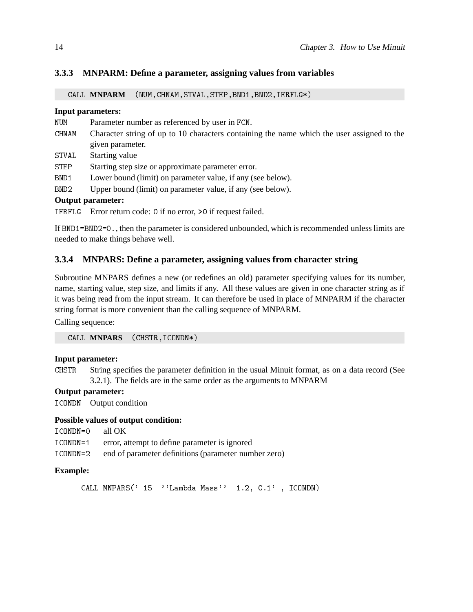### **3.3.3 MNPARM: Define a parameter, assigning values from variables**

CALL **MNPARM** (NUM,CHNAM,STVAL,STEP,BND1,BND2,IERFLG\*)

#### **Input parameters:**

- NUM Parameter number as referenced by user in FCN.
- CHNAM Character string of up to 10 characters containing the name which the user assigned to the given parameter.
- STVAL Starting value
- STEP Starting step size or approximate parameter error.
- BND1 Lower bound (limit) on parameter value, if any (see below).
- BND2 Upper bound (limit) on parameter value, if any (see below).

### **Output parameter:**

IERFLG Error return code: 0 if no error, >0 if request failed.

If BND1=BND2=0., then the parameter is considered unbounded, which is recommended unless limits are needed to make things behave well.

#### **3.3.4 MNPARS: Define a parameter, assigning values from character string**

Subroutine MNPARS defines a new (or redefines an old) parameter specifying values for its number, name, starting value, step size, and limits if any. All these values are given in one character string as if it was being read from the input stream. It can therefore be used in place of MNPARM if the character string format is more convenient than the calling sequence of MNPARM.

Calling sequence:

CALL **MNPARS** (CHSTR,ICONDN\*)

#### **Input parameter:**

CHSTR String specifies the parameter definition in the usual Minuit format, as on a data record (See 3.2.1). The fields are in the same order as the arguments to MNPARM

#### **Output parameter:**

ICONDN Output condition

#### **Possible values of output condition:**

- ICONDN=0 all OK
- ICONDN=1 error, attempt to define parameter is ignored
- ICONDN=2 end of parameter definitions (parameter number zero)

#### **Example:**

CALL MNPARS(' 15 ''Lambda Mass'' 1.2, 0.1' , ICONDN)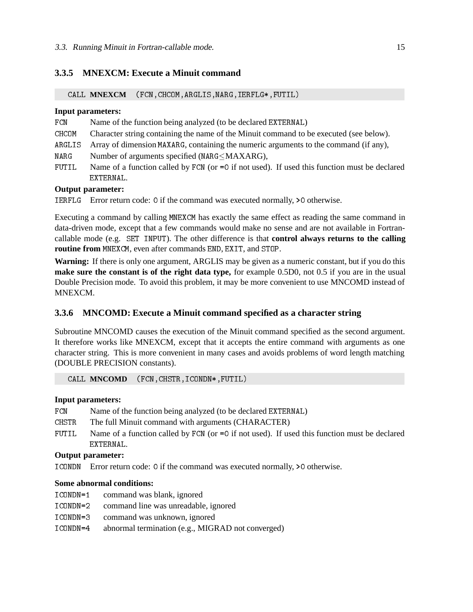### **3.3.5 MNEXCM: Execute a Minuit command**

CALL **MNEXCM** (FCN,CHCOM,ARGLIS,NARG,IERFLG\*,FUTIL)

#### **Input parameters:**

- FCN Name of the function being analyzed (to be declared EXTERNAL)
- CHCOM Character string containing the name of the Minuit command to be executed (see below).
- ARGLIS Array of dimension MAXARG, containing the numeric arguments to the command (if any),
- NARG Number of arguments specified (NARG $\leq$ MAXARG),
- FUTIL Name of a function called by FCN (or =0 if not used). If used this function must be declared EXTERNAL.

#### **Output parameter:**

IERFLG Error return code: 0 if the command was executed normally, >0 otherwise.

Executing a command by calling MNEXCM has exactly the same effect as reading the same command in data-driven mode, except that a few commands would make no sense and are not available in Fortrancallable mode (e.g. SET INPUT). The other difference is that **control always returns to the calling routine from** MNEXCM, even after commands END, EXIT, and STOP.

**Warning:** If there is only one argument, ARGLIS may be given as a numeric constant, but if you do this **make sure the constant is of the right data type,** for example 0.5D0, not 0.5 if you are in the usual Double Precision mode. To avoid this problem, it may be more convenient to use MNCOMD instead of MNEXCM.

### **3.3.6 MNCOMD: Execute a Minuit command specified as a character string**

Subroutine MNCOMD causes the execution of the Minuit command specified as the second argument. It therefore works like MNEXCM, except that it accepts the entire command with arguments as one character string. This is more convenient in many cases and avoids problems of word length matching (DOUBLE PRECISION constants).

CALL **MNCOMD** (FCN,CHSTR,ICONDN\*,FUTIL)

#### **Input parameters:**

- FCN Name of the function being analyzed (to be declared EXTERNAL)
- CHSTR The full Minuit command with arguments (CHARACTER)
- FUTIL Name of a function called by FCN (or =0 if not used). If used this function must be declared EXTERNAL.

### **Output parameter:**

ICONDN Error return code: 0 if the command was executed normally, >0 otherwise.

#### **Some abnormal conditions:**

- ICONDN=1 command was blank, ignored
- ICONDN=2 command line was unreadable, ignored
- ICONDN=3 command was unknown, ignored
- ICONDN=4 abnormal termination (e.g., MIGRAD not converged)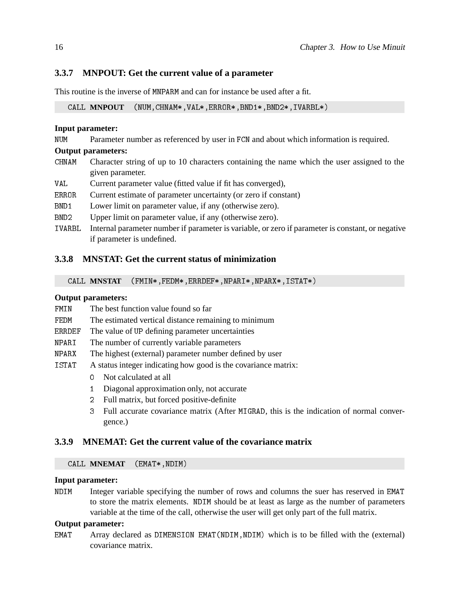## **3.3.7 MNPOUT: Get the current value of a parameter**

This routine is the inverse of MNPARM and can for instance be used after a fit.

CALL **MNPOUT** (NUM,CHNAM\*,VAL\*,ERROR\*,BND1\*,BND2\*,IVARBL\*)

### **Input parameter:**

NUM Parameter number as referenced by user in FCN and about which information is required.

#### **Output parameters:**

- CHNAM Character string of up to 10 characters containing the name which the user assigned to the given parameter.
- VAL Current parameter value (fitted value if fit has converged),
- ERROR Current estimate of parameter uncertainty (or zero if constant)
- BND1 Lower limit on parameter value, if any (otherwise zero).
- BND2 Upper limit on parameter value, if any (otherwise zero).
- IVARBL Internal parameter number if parameter is variable, or zero if parameter is constant, or negative if parameter is undefined.

### **3.3.8 MNSTAT: Get the current status of minimization**

CALL **MNSTAT** (FMIN\*,FEDM\*,ERRDEF\*,NPARI\*,NPARX\*,ISTAT\*)

### **Output parameters:**

- FMIN The best function value found so far
- FEDM The estimated vertical distance remaining to minimum
- ERRDEF The value of UP defining parameter uncertainties
- NPARI The number of currently variable parameters
- NPARX The highest (external) parameter number defined by user
- ISTAT A status integer indicating how good is the covariance matrix:
	- 0 Not calculated at all
	- 1 Diagonal approximation only, not accurate
	- 2 Full matrix, but forced positive-definite
	- 3 Full accurate covariance matrix (After MIGRAD, this is the indication of normal convergence.)

## **3.3.9 MNEMAT: Get the current value of the covariance matrix**

#### CALL **MNEMAT** (EMAT\*,NDIM)

## **Input parameter:**

NDIM Integer variable specifying the number of rows and columns the suer has reserved in EMAT to store the matrix elements. NDIM should be at least as large as the number of parameters variable at the time of the call, otherwise the user will get only part of the full matrix.

### **Output parameter:**

EMAT Array declared as DIMENSION EMAT(NDIM, NDIM) which is to be filled with the (external) covariance matrix.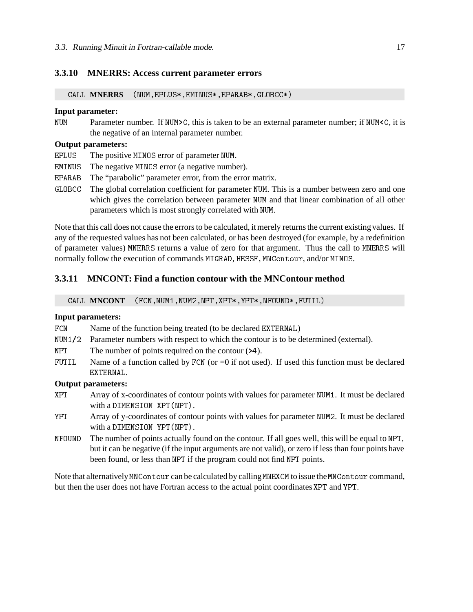#### **3.3.10 MNERRS: Access current parameter errors**

CALL **MNERRS** (NUM,EPLUS\*,EMINUS\*,EPARAB\*,GLOBCC\*)

#### **Input parameter:**

NUM Parameter number. If NUM>0, this is taken to be an external parameter number; if NUM<0, it is the negative of an internal parameter number.

### **Output parameters:**

- EPLUS The positive MINOS error of parameter NUM.
- EMINUS The negative MINOS error (a negative number).
- EPARAB The "parabolic" parameter error, from the error matrix.
- GLOBCC The global correlation coefficient for parameter NUM. This is a number between zero and one which gives the correlation between parameter NUM and that linear combination of all other parameters which is most strongly correlated with NUM.

Note that this call does not cause the errors to be calculated, it merely returns the current existing values. If any of the requested values has not been calculated, or has been destroyed (for example, by a redefinition of parameter values) MNERRS returns a value of zero for that argument. Thus the call to MNERRS will normally follow the execution of commands MIGRAD, HESSE, MNContour, and/or MINOS.

### **3.3.11 MNCONT: Find a function contour with the MNContour method**

CALL **MNCONT** (FCN,NUM1,NUM2,NPT,XPT\*,YPT\*,NFOUND\*,FUTIL)

#### **Input parameters:**

- FCN Name of the function being treated (to be declared EXTERNAL)
- NUM1/2 Parameter numbers with respect to which the contour is to be determined (external).
- NPT The number of points required on the contour  $(24)$ .
- FUTIL Name of a function called by FCN (or  $=0$  if not used). If used this function must be declared EXTERNAL.

#### **Output parameters:**

- XPT Array of x-coordinates of contour points with values for parameter NUM1. It must be declared with a DIMENSION XPT(NPT).
- YPT Array of y-coordinates of contour points with values for parameter NUM2. It must be declared with a DIMENSION YPT(NPT).
- NFOUND The number of points actually found on the contour. If all goes well, this will be equal to NPT, but it can be negative (if the input arguments are not valid), or zero if less than four points have been found, or less than NPT if the program could not find NPT points.

Note that alternatively MNContour can be calculated by calling MNEXCM to issue the MNContour command, but then the user does not have Fortran access to the actual point coordinates XPT and YPT.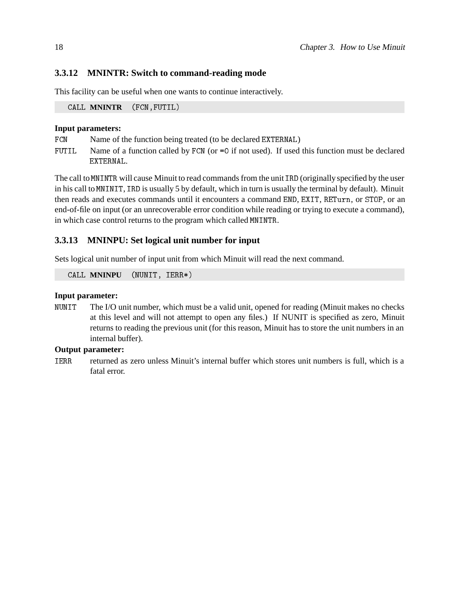## **3.3.12 MNINTR: Switch to command-reading mode**

This facility can be useful when one wants to continue interactively.

CALL **MNINTR** (FCN,FUTIL)

### **Input parameters:**

- FCN Name of the function being treated (to be declared EXTERNAL)
- FUTIL Name of a function called by FCN (or =0 if not used). If used this function must be declared EXTERNAL.

The call to MNINTR will cause Minuit to read commands from the unit IRD (originally specified by the user in his call to MNINIT, IRD is usually 5 by default, which in turn is usually the terminal by default). Minuit then reads and executes commands until it encounters a command END, EXIT, RETurn, or STOP, or an end-of-file on input (or an unrecoverable error condition while reading or trying to execute a command), in which case control returns to the program which called MNINTR.

## **3.3.13 MNINPU: Set logical unit number for input**

Sets logical unit number of input unit from which Minuit will read the next command.

CALL **MNINPU** (NUNIT, IERR\*)

#### **Input parameter:**

NUNIT The I/O unit number, which must be a valid unit, opened for reading (Minuit makes no checks at this level and will not attempt to open any files.) If NUNIT is specified as zero, Minuit returns to reading the previous unit (for this reason, Minuit has to store the unit numbers in an internal buffer).

## **Output parameter:**

IERR returned as zero unless Minuit's internal buffer which stores unit numbers is full, which is a fatal error.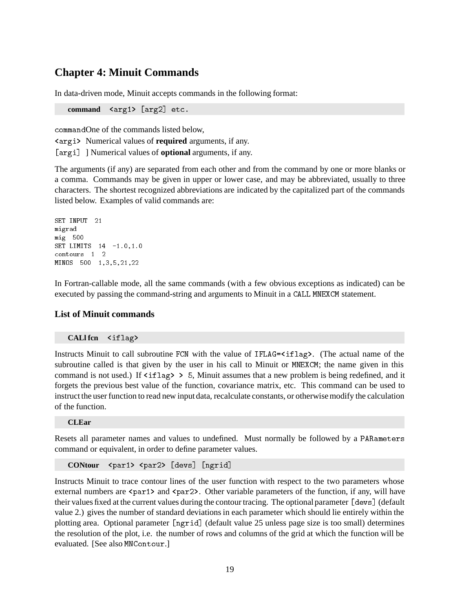## **Chapter 4: Minuit Commands**

In data-driven mode, Minuit accepts commands in the following format:

command <arg1> [arg2] etc.

commandOne of the commands listed below,

<argi> Numerical values of **required** arguments, if any.

[argi] ] Numerical values of **optional** arguments, if any.

The arguments (if any) are separated from each other and from the command by one or more blanks or a comma. Commands may be given in upper or lower case, and may be abbreviated, usually to three characters. The shortest recognized abbreviations are indicated by the capitalized part of the commands listed below. Examples of valid commands are:

```
SET INPUT 21
migrad
mig 500
SET LIMITS 14 -1.0,1.0
contours 1 2
MINOS 500 1,3,5,21,22
```
In Fortran-callable mode, all the same commands (with a few obvious exceptions as indicated) can be executed by passing the command-string and arguments to Minuit in a CALL MNEXCM statement.

#### **List of Minuit commands**

#### **CALl fcn** <iflag>

Instructs Minuit to call subroutine FCN with the value of IFLAG= $\langle$ iflag>. (The actual name of the subroutine called is that given by the user in his call to Minuit or MNEXCM; the name given in this command is not used.) If  $\langle$ iflag $\rangle$  > 5, Minuit assumes that a new problem is being redefined, and it forgets the previous best value of the function, covariance matrix, etc. This command can be used to instruct the user function to read new input data, recalculate constants, or otherwise modify the calculation of the function.

#### **CLEar**

Resets all parameter names and values to undefined. Must normally be followed by a PARameters command or equivalent, in order to define parameter values.

**CONtour** <par1> <par2> [devs] [ngrid]

Instructs Minuit to trace contour lines of the user function with respect to the two parameters whose external numbers are  $\epsilon$  par1> and  $\epsilon$  par2>. Other variable parameters of the function, if any, will have their values fixed at the current values during the contour tracing. The optional parameter [devs] (default value 2.) gives the number of standard deviations in each parameter which should lie entirely within the plotting area. Optional parameter [ngrid] (default value 25 unless page size is too small) determines the resolution of the plot, i.e. the number of rows and columns of the grid at which the function will be evaluated. [See also MNContour.]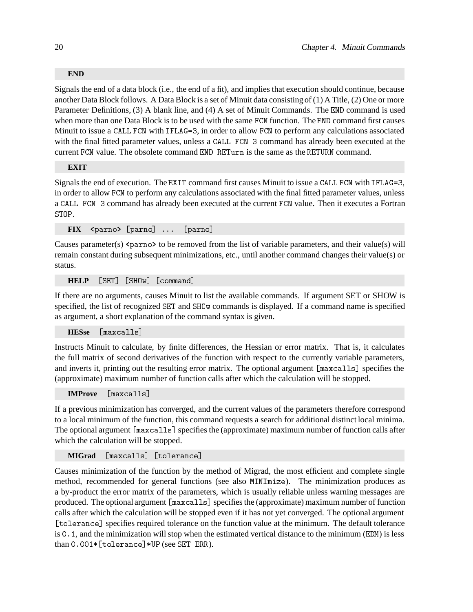#### **END**

Signals the end of a data block (i.e., the end of a fit), and implies that execution should continue, because another Data Block follows. A Data Block is a set of Minuit data consisting of (1) A Title, (2) One or more Parameter Definitions, (3) A blank line, and (4) A set of Minuit Commands. The END command is used when more than one Data Block is to be used with the same FCN function. The END command first causes Minuit to issue a CALL FCN with IFLAG=3, in order to allow FCN to perform any calculations associated with the final fitted parameter values, unless a CALL FCN 3 command has already been executed at the current FCN value. The obsolete command END RETurn is the same as the RETURN command.

#### **EXIT**

Signals the end of execution. The EXIT command first causes Minuit to issue a CALL FCN with IFLAG=3, in order to allow FCN to perform any calculations associated with the final fitted parameter values, unless a CALL FCN 3 command has already been executed at the current FCN value. Then it executes a Fortran STOP.

**FIX** <parno> [parno] ... [parno]

Causes parameter(s)  $\epsilon$  parno> to be removed from the list of variable parameters, and their value(s) will remain constant during subsequent minimizations, etc., until another command changes their value(s) or status.

**HELP** [SET] [SHOw] [command]

If there are no arguments, causes Minuit to list the available commands. If argument SET or SHOW is specified, the list of recognized SET and SHOw commands is displayed. If a command name is specified as argument, a short explanation of the command syntax is given.

**HESse** [maxcalls]

Instructs Minuit to calculate, by finite differences, the Hessian or error matrix. That is, it calculates the full matrix of second derivatives of the function with respect to the currently variable parameters, and inverts it, printing out the resulting error matrix. The optional argument [maxcalls] specifies the (approximate) maximum number of function calls after which the calculation will be stopped.

**IMProve** [maxcalls]

If a previous minimization has converged, and the current values of the parameters therefore correspond to a local minimum of the function, this command requests a search for additional distinct local minima. The optional argument [maxcalls] specifies the (approximate) maximum number of function calls after which the calculation will be stopped.

**MIGrad** [maxcalls] [tolerance]

Causes minimization of the function by the method of Migrad, the most efficient and complete single method, recommended for general functions (see also MINImize). The minimization produces as a by-product the error matrix of the parameters, which is usually reliable unless warning messages are produced. The optional argument [maxcalls] specifies the (approximate) maximum number of function calls after which the calculation will be stopped even if it has not yet converged. The optional argument [tolerance] specifies required tolerance on the function value at the minimum. The default tolerance is 0.1, and the minimization will stop when the estimated vertical distance to the minimum (EDM) is less than 0.001\*[tolerance]\*UP (see SET ERR).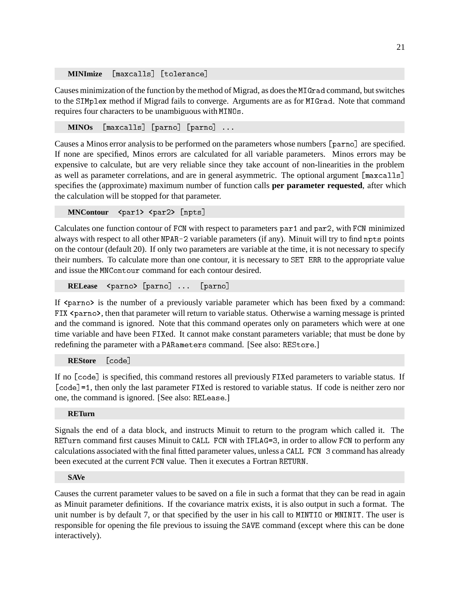**MINImize** [maxcalls] [tolerance]

Causes minimization of the function by the method of Migrad, as does the MIGrad command, but switches to the SIMplex method if Migrad fails to converge. Arguments are as for MIGrad. Note that command requires four characters to be unambiguous with MINOs.

**MINOs** [maxcalls] [parno] [parno] ...

Causes a Minos error analysis to be performed on the parameters whose numbers [parno] are specified. If none are specified, Minos errors are calculated for all variable parameters. Minos errors may be expensive to calculate, but are very reliable since they take account of non-linearities in the problem as well as parameter correlations, and are in general asymmetric. The optional argument [maxcalls] specifies the (approximate) maximum number of function calls **per parameter requested**, after which the calculation will be stopped for that parameter.

**MNContour** <par1> <par2> [npts]

Calculates one function contour of FCN with respect to parameters par1 and par2, with FCN minimized always with respect to all other NPAR-2 variable parameters (if any). Minuit will try to find npts points on the contour (default 20). If only two parameters are variable at the time, it is not necessary to specify their numbers. To calculate more than one contour, it is necessary to SET ERR to the appropriate value and issue the MNContour command for each contour desired.

**RELease** <parno> [parno] ... [parno]

If  $\epsilon$  parno is the number of a previously variable parameter which has been fixed by a command: FIX <parno>, then that parameter will return to variable status. Otherwise a warning message is printed and the command is ignored. Note that this command operates only on parameters which were at one time variable and have been FIXed. It cannot make constant parameters variable; that must be done by redefining the parameter with a PARameters command. [See also: REStore.]

**REStore** [code]

If no [code] is specified, this command restores all previously FIXed parameters to variable status. If [code]=1, then only the last parameter FIXed is restored to variable status. If code is neither zero nor one, the command is ignored. [See also: RELease.]

#### **RETurn**

Signals the end of a data block, and instructs Minuit to return to the program which called it. The RETurn command first causes Minuit to CALL FCN with IFLAG=3, in order to allow FCN to perform any calculations associated with the final fitted parameter values, unless a CALL FCN 3 command has already been executed at the current FCN value. Then it executes a Fortran RETURN.

#### **SAVe**

Causes the current parameter values to be saved on a file in such a format that they can be read in again as Minuit parameter definitions. If the covariance matrix exists, it is also output in such a format. The unit number is by default 7, or that specified by the user in his call to MINTIO or MNINIT. The user is responsible for opening the file previous to issuing the SAVE command (except where this can be done interactively).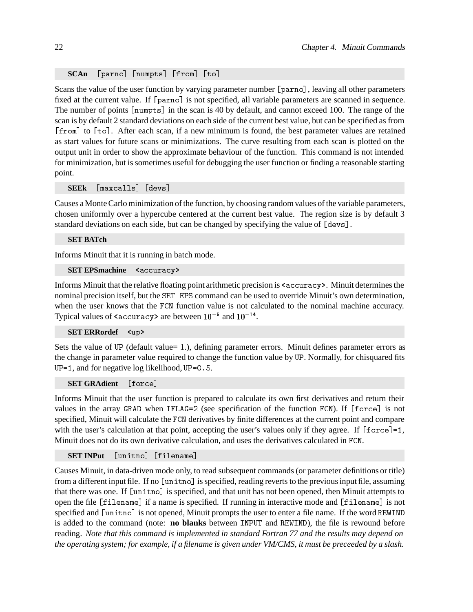#### **SCAn** [parno] [numpts] [from] [to]

Scans the value of the user function by varying parameter number [parno], leaving all other parameters fixed at the current value. If [parno] is not specified, all variable parameters are scanned in sequence. The number of points [numpts] in the scan is 40 by default, and cannot exceed 100. The range of the scan is by default 2 standard deviations on each side of the current best value, but can be specified as from [from] to [to]. After each scan, if a new minimum is found, the best parameter values are retained as start values for future scans or minimizations. The curve resulting from each scan is plotted on the output unit in order to show the approximate behaviour of the function. This command is not intended for minimization, but is sometimes useful for debugging the user function or finding a reasonable starting point.

**SEEk** [maxcalls] [devs]

Causes a Monte Carlo minimization of the function, by choosing random values of the variable parameters, chosen uniformly over a hypercube centered at the current best value. The region size is by default 3 standard deviations on each side, but can be changed by specifying the value of [devs].

**SET BATch**

Informs Minuit that it is running in batch mode.

#### **SET EPSmachine** <accuracy>

Informs Minuit that the relative floating point arithmetic precision is  $\langle$  accuracy>. Minuit determines the nominal precision itself, but the SET EPS command can be used to override Minuit's own determination, when the user knows that the FCN function value is not calculated to the nominal machine accuracy. Typical values of <code><accuracy</code> are between  $10^{-5}$  and  $10^{-14}$ .

#### **SET ERRordef** <up>

Sets the value of UP (default value= 1.), defining parameter errors. Minuit defines parameter errors as the change in parameter value required to change the function value by UP. Normally, for chisquared fits UP=1, and for negative log likelihood, UP=0.5.

**SET GRAdient** [force]

Informs Minuit that the user function is prepared to calculate its own first derivatives and return their values in the array GRAD when IFLAG=2 (see specification of the function FCN). If [force] is not specified, Minuit will calculate the FCN derivatives by finite differences at the current point and compare with the user's calculation at that point, accepting the user's values only if they agree. If [force]=1, Minuit does not do its own derivative calculation, and uses the derivatives calculated in FCN.

#### **SET INPut** [unitno] [filename]

Causes Minuit, in data-driven mode only, to read subsequent commands (or parameter definitions or title) from a different input file. If no [unitno] is specified, reading reverts to the previous input file, assuming that there was one. If [unitno] is specified, and that unit has not been opened, then Minuit attempts to open the file [filename] if a name is specified. If running in interactive mode and [filename] is not specified and [unitno] is not opened, Minuit prompts the user to enter a file name. If the word REWIND is added to the command (note: **no blanks** between INPUT and REWIND), the file is rewound before reading. *Note that this command is implemented in standard Fortran 77 and the results may depend on the operating system; for example, if a filename is given under VM/CMS, it must be preceeded by a slash.*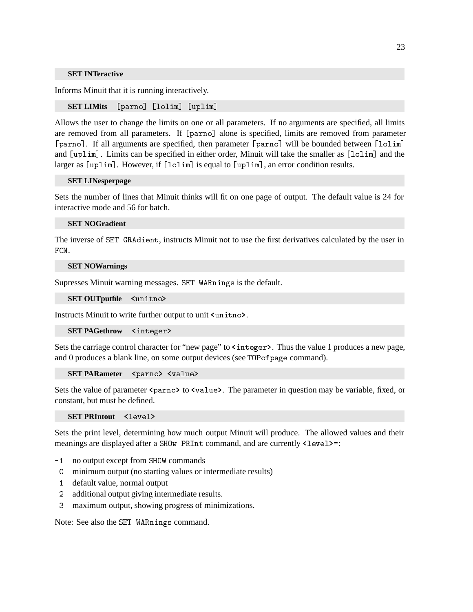#### **SET INTeractive**

Informs Minuit that it is running interactively.

**SET LIMits** [parno] [lolim] [uplim]

Allows the user to change the limits on one or all parameters. If no arguments are specified, all limits are removed from all parameters. If [parno] alone is specified, limits are removed from parameter [parno]. If all arguments are specified, then parameter [parno] will be bounded between [lolim] and [uplim]. Limits can be specified in either order, Minuit will take the smaller as [lolim] and the larger as [uplim]. However, if [lolim] is equal to [uplim], an error condition results.

#### **SET LINesperpage**

Sets the number of lines that Minuit thinks will fit on one page of output. The default value is 24 for interactive mode and 56 for batch.

#### **SET NOGradient**

The inverse of SET GRAdient, instructs Minuit not to use the first derivatives calculated by the user in FCN.

#### **SET NOWarnings**

Supresses Minuit warning messages. SET WARnings is the default.

**SET OUTputfile** <unitno>

Instructs Minuit to write further output to unit <unitno>.

**SET PAGethrow** <integer>

Sets the carriage control character for "new page" to  $\langle$  integer  $\rangle$ . Thus the value 1 produces a new page, and 0 produces a blank line, on some output devices (see TOPofpage command).

**SET PARameter** <parno> <value>

Sets the value of parameter  $\epsilon$  parno> to  $\epsilon$  value>. The parameter in question may be variable, fixed, or constant, but must be defined.

**SET PRIntout** <level>

Sets the print level, determining how much output Minuit will produce. The allowed values and their meanings are displayed after a SHOW PRInt command, and are currently <level> =:

- -1 no output except from SHOW commands
- 0 minimum output (no starting values or intermediate results)
- 1 default value, normal output
- 2 additional output giving intermediate results.
- 3 maximum output, showing progress of minimizations.

Note: See also the SET WARnings command.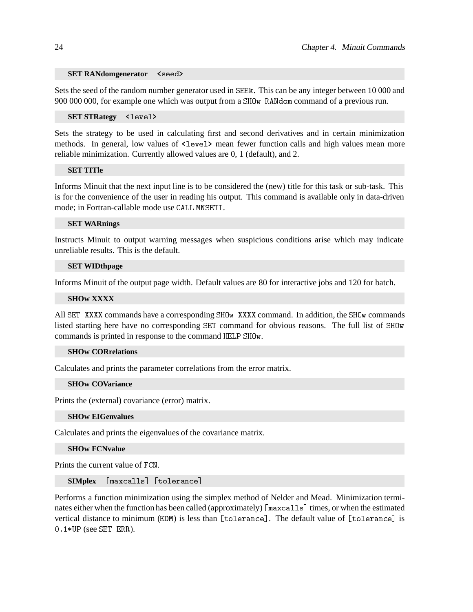#### **SET RANdomgenerator** <seed>

Sets the seed of the random number generator used in SEEk. This can be any integer between 10 000 and 900 000 000, for example one which was output from a SHOw RANdom command of a previous run.

**SET STRategy** <level>

Sets the strategy to be used in calculating first and second derivatives and in certain minimization methods. In general, low values of  $\text{4-level}$  mean fewer function calls and high values mean more reliable minimization. Currently allowed values are 0, 1 (default), and 2.

### **SET TITle**

Informs Minuit that the next input line is to be considered the (new) title for this task or sub-task. This is for the convenience of the user in reading his output. This command is available only in data-driven mode; in Fortran-callable mode use CALL MNSETI.

#### **SET WARnings**

Instructs Minuit to output warning messages when suspicious conditions arise which may indicate unreliable results. This is the default.

#### **SET WIDthpage**

Informs Minuit of the output page width. Default values are 80 for interactive jobs and 120 for batch.

#### **SHOw XXXX**

All SET XXXX commands have a corresponding SHOw XXXX command. In addition, the SHOw commands listed starting here have no corresponding SET command for obvious reasons. The full list of SHOw commands is printed in response to the command HELP SHOw.

#### **SHOw CORrelations**

Calculates and prints the parameter correlations from the error matrix.

#### **SHOw COVariance**

Prints the (external) covariance (error) matrix.

#### **SHOw EIGenvalues**

Calculates and prints the eigenvalues of the covariance matrix.

#### **SHOw FCNvalue**

Prints the current value of FCN.

**SIMplex** [maxcalls] [tolerance]

Performs a function minimization using the simplex method of Nelder and Mead. Minimization terminates either when the function has been called (approximately) [maxcalls] times, or when the estimated vertical distance to minimum (EDM) is less than [tolerance]. The default value of [tolerance] is 0.1\*UP (see SET ERR).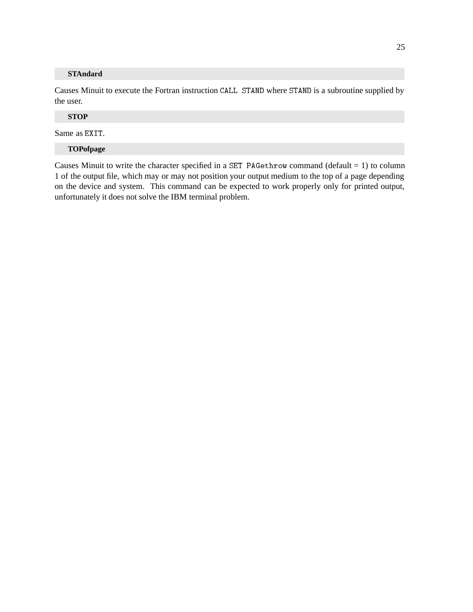### **STAndard**

Causes Minuit to execute the Fortran instruction CALL STAND where STAND is a subroutine supplied by the user.

### **STOP**

Same as EXIT.

#### **TOPofpage**

Causes Minuit to write the character specified in a SET PAGethrow command (default = 1) to column 1 of the output file, which may or may not position your output medium to the top of a page depending on the device and system. This command can be expected to work properly only for printed output, unfortunately it does not solve the IBM terminal problem.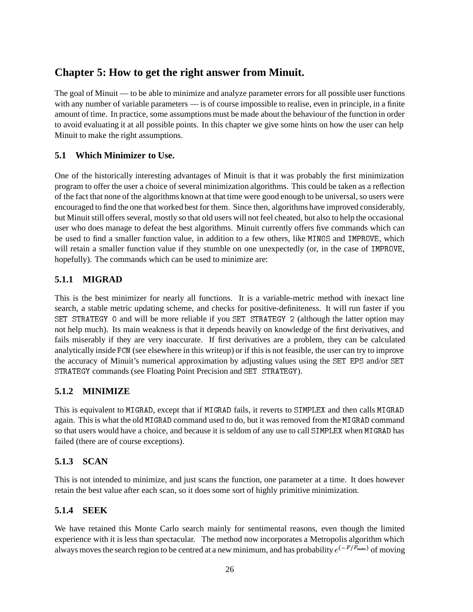# **Chapter 5: How to get the right answer from Minuit.**

The goal of Minuit — to be able to minimize and analyze parameter errors for all possible user functions with any number of variable parameters — is of course impossible to realise, even in principle, in a finite amount of time. In practice, some assumptions must be made about the behaviour of the function in order to avoid evaluating it at all possible points. In this chapter we give some hints on how the user can help Minuit to make the right assumptions.

## **5.1 Which Minimizer to Use.**

One of the historically interesting advantages of Minuit is that it was probably the first minimization program to offer the user a choice of several minimization algorithms. This could be taken as a reflection of the fact that none of the algorithms known at that time were good enough to be universal, so users were encouraged to find the one that worked best for them. Since then, algorithms have improved considerably, but Minuit still offers several, mostly so that old users will not feel cheated, but also to help the occasional user who does manage to defeat the best algorithms. Minuit currently offers five commands which can be used to find a smaller function value, in addition to a few others, like MINOS and IMPROVE, which will retain a smaller function value if they stumble on one unexpectedly (or, in the case of IMPROVE, hopefully). The commands which can be used to minimize are:

## **5.1.1 MIGRAD**

This is the best minimizer for nearly all functions. It is a variable-metric method with inexact line search, a stable metric updating scheme, and checks for positive-definiteness. It will run faster if you SET STRATEGY 0 and will be more reliable if you SET STRATEGY 2 (although the latter option may not help much). Its main weakness is that it depends heavily on knowledge of the first derivatives, and fails miserably if they are very inaccurate. If first derivatives are a problem, they can be calculated analytically inside FCN (see elsewhere in this writeup) or if this is not feasible, the user can try to improve the accuracy of Minuit's numerical approximation by adjusting values using the SET EPS and/or SET STRATEGY commands (see Floating Point Precision and SET STRATEGY).

## **5.1.2 MINIMIZE**

This is equivalent to MIGRAD, except that if MIGRAD fails, it reverts to SIMPLEX and then calls MIGRAD again. This is what the old MIGRAD command used to do, but it was removed from the MIGRAD command so that users would have a choice, and because it is seldom of any use to call SIMPLEX when MIGRAD has failed (there are of course exceptions).

## **5.1.3 SCAN**

This is not intended to minimize, and just scans the function, one parameter at a time. It does however retain the best value after each scan, so it does some sort of highly primitive minimization.

## **5.1.4 SEEK**

We have retained this Monte Carlo search mainly for sentimental reasons, even though the limited experience with it is less than spectacular. The method now incorporates a Metropolis algorithm which always moves the search region to be centred at a new minimum, and has probability  $e^{(-F/F_{\min})}$  of moving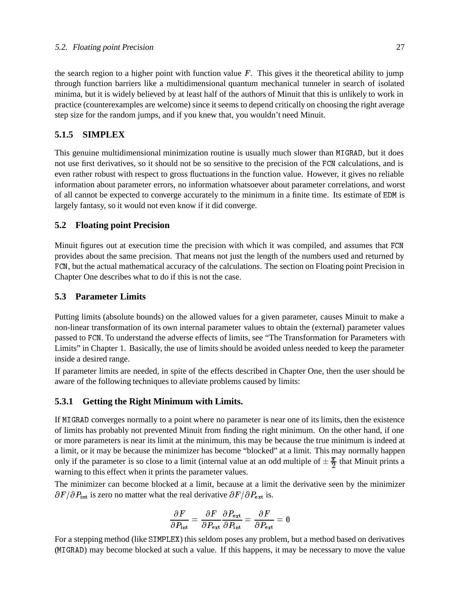the search region to a higher point with function value  $F$ . This gives it the theoretical ability to jump through function barriers like a multidimensional quantum mechanical tunneler in search of isolated minima, but it is widely believed by at least half of the authors of Minuit that this is unlikely to work in practice (counterexamples are welcome) since it seems to depend critically on choosing the right average step size for the random jumps, and if you knew that, you wouldn't need Minuit.

### **5.1.5 SIMPLEX**

This genuine multidimensional minimization routine is usually much slower than MIGRAD, but it does not use first derivatives, so it should not be so sensitive to the precision of the FCN calculations, and is even rather robust with respect to gross fluctuations in the function value. However, it gives no reliable information about parameter errors, no information whatsoever about parameter correlations, and worst of all cannot be expected to converge accurately to the minimum in a finite time. Its estimate of EDM is largely fantasy, so it would not even know if it did converge.

### **5.2 Floating point Precision**

Minuit figures out at execution time the precision with which it was compiled, and assumes that FCN provides about the same precision. That means not just the length of the numbers used and returned by FCN, but the actual mathematical accuracy of the calculations. The section on Floating point Precision in Chapter One describes what to do if this is not the case.

#### **5.3 Parameter Limits**

Putting limits (absolute bounds) on the allowed values for a given parameter, causes Minuit to make a non-linear transformation of its own internal parameter values to obtain the (external) parameter values passed to FCN. To understand the adverse effects of limits, see "The Transformation for Parameters with Limits" in Chapter 1. Basically, the use of limits should be avoided unless needed to keep the parameter inside a desired range.

If parameter limits are needed, in spite of the effects described in Chapter One, then the user should be aware of the following techniques to alleviate problems caused by limits:

### **5.3.1 Getting the Right Minimum with Limits.**

If MIGRAD converges normally to a point where no parameter is near one of its limits, then the existence of limits has probably not prevented Minuit from finding the right minimum. On the other hand, if one or more parameters is near its limit at the minimum, this may be because the true minimum is indeed at a limit, or it may be because the minimizer has become "blocked" at a limit. This may normally happen only if the parameter is so close to a limit (internal value at an odd multiple of  $\pm \frac{\pi}{2}$  that Minuit prints a warning to this effect when it prints the parameter values.

The minimizer can become blocked at a limit, because at a limit the derivative seen by the minimizer  $\partial F / \partial P_{\text{int}}$  is zero no matter what the real derivative  $\partial F / \partial P_{\text{ext}}$  is.

$$
\frac{\partial F}{\partial P_{\rm int}} = \frac{\partial F}{\partial P_{\rm ext}} \frac{\partial P_{\rm ext}}{\partial P_{\rm int}} = \frac{\partial F}{\partial P_{\rm ext}} = 0
$$

For a stepping method (like SIMPLEX) this seldom poses any problem, but a method based on derivatives (MIGRAD) may become blocked at such a value. If this happens, it may be necessary to move the value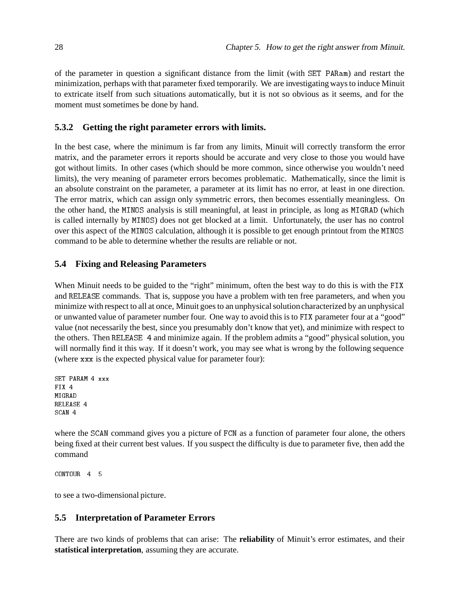of the parameter in question a significant distance from the limit (with SET PARam) and restart the minimization, perhaps with that parameter fixed temporarily. We are investigating ways to induce Minuit to extricate itself from such situations automatically, but it is not so obvious as it seems, and for the moment must sometimes be done by hand.

## **5.3.2 Getting the right parameter errors with limits.**

In the best case, where the minimum is far from any limits, Minuit will correctly transform the error matrix, and the parameter errors it reports should be accurate and very close to those you would have got without limits. In other cases (which should be more common, since otherwise you wouldn't need limits), the very meaning of parameter errors becomes problematic. Mathematically, since the limit is an absolute constraint on the parameter, a parameter at its limit has no error, at least in one direction. The error matrix, which can assign only symmetric errors, then becomes essentially meaningless. On the other hand, the MINOS analysis is still meaningful, at least in principle, as long as MIGRAD (which is called internally by MINOS) does not get blocked at a limit. Unfortunately, the user has no control over this aspect of the MINOS calculation, although it is possible to get enough printout from the MINOS command to be able to determine whether the results are reliable or not.

## **5.4 Fixing and Releasing Parameters**

When Minuit needs to be guided to the "right" minimum, often the best way to do this is with the FIX and RELEASE commands. That is, suppose you have a problem with ten free parameters, and when you minimize with respect to all at once, Minuit goes to an unphysical solution characterized by an unphysical or unwanted value of parameter number four. One way to avoid this is to FIX parameter four at a "good" value (not necessarily the best, since you presumably don't know that yet), and minimize with respect to the others. Then RELEASE 4 and minimize again. If the problem admits a "good" physical solution, you will normally find it this way. If it doesn't work, you may see what is wrong by the following sequence (where xxx is the expected physical value for parameter four):

```
SET PARAM 4 xxx
FTX 4
MIGRAD
RELEASE 4
SCAN 4
```
where the SCAN command gives you a picture of FCN as a function of parameter four alone, the others being fixed at their current best values. If you suspect the difficulty is due to parameter five, then add the command

CONTOUR<sub>45</sub>

to see a two-dimensional picture.

## **5.5 Interpretation of Parameter Errors**

There are two kinds of problems that can arise: The **reliability** of Minuit's error estimates, and their **statistical interpretation**, assuming they are accurate.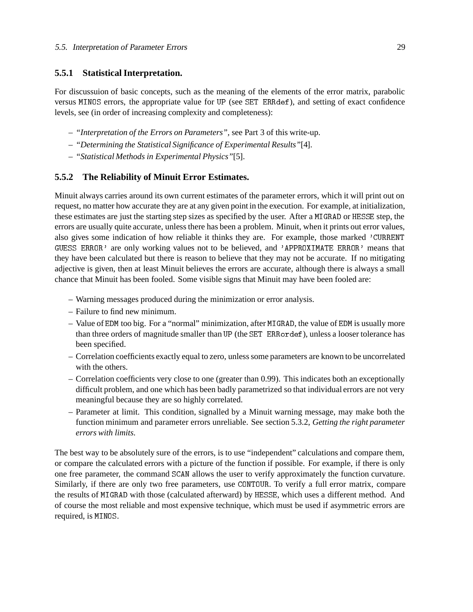#### **5.5.1 Statistical Interpretation.**

For discussuion of basic concepts, such as the meaning of the elements of the error matrix, parabolic versus MINOS errors, the appropriate value for UP (see SET ERRdef), and setting of exact confidence levels, see (in order of increasing complexity and completeness):

- *"Interpretation of the Errors on Parameters",* see Part 3 of this write-up.
- *"Determining the Statistical Significance of Experimental Results"*[4].
- *"Statistical Methods in Experimental Physics"*[5].

#### **5.5.2 The Reliability of Minuit Error Estimates.**

Minuit always carries around its own current estimates of the parameter errors, which it will print out on request, no matter how accurate they are at any given point in the execution. For example, at initialization, these estimates are just the starting step sizes as specified by the user. After a MIGRAD or HESSE step, the errors are usually quite accurate, unless there has been a problem. Minuit, when it prints out error values, also gives some indication of how reliable it thinks they are. For example, those marked 'CURRENT GUESS ERROR' are only working values not to be believed, and 'APPROXIMATE ERROR' means that they have been calculated but there is reason to believe that they may not be accurate. If no mitigating adjective is given, then at least Minuit believes the errors are accurate, although there is always a small chance that Minuit has been fooled. Some visible signs that Minuit may have been fooled are:

- Warning messages produced during the minimization or error analysis.
- Failure to find new minimum.
- Value of EDM too big. For a "normal" minimization, after MIGRAD, the value of EDM is usually more than three orders of magnitude smaller than UP (the SET ERRordef), unless a looser tolerance has been specified.
- Correlation coefficients exactly equal to zero, unless some parameters are known to be uncorrelated with the others.
- Correlation coefficients very close to one (greater than 0.99). This indicates both an exceptionally difficult problem, and one which has been badly parametrized so that individual errors are not very meaningful because they are so highly correlated.
- Parameter at limit. This condition, signalled by a Minuit warning message, may make both the function minimum and parameter errors unreliable. See section 5.3.2, *Getting the right parameter errors with limits.*

The best way to be absolutely sure of the errors, is to use "independent" calculations and compare them, or compare the calculated errors with a picture of the function if possible. For example, if there is only one free parameter, the command SCAN allows the user to verify approximately the function curvature. Similarly, if there are only two free parameters, use CONTOUR. To verify a full error matrix, compare the results of MIGRAD with those (calculated afterward) by HESSE, which uses a different method. And of course the most reliable and most expensive technique, which must be used if asymmetric errors are required, is MINOS.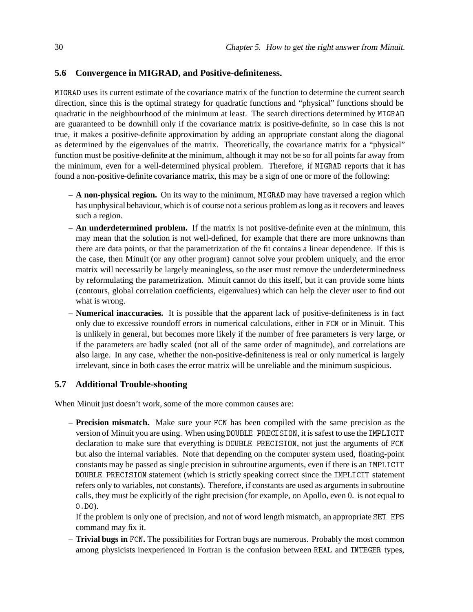#### **5.6 Convergence in MIGRAD, and Positive-definiteness.**

MIGRAD uses its current estimate of the covariance matrix of the function to determine the current search direction, since this is the optimal strategy for quadratic functions and "physical" functions should be quadratic in the neighbourhood of the minimum at least. The search directions determined by MIGRAD are guaranteed to be downhill only if the covariance matrix is positive-definite, so in case this is not true, it makes a positive-definite approximation by adding an appropriate constant along the diagonal as determined by the eigenvalues of the matrix. Theoretically, the covariance matrix for a "physical" function must be positive-definite at the minimum, although it may not be so for all points far away from the minimum, even for a well-determined physical problem. Therefore, if MIGRAD reports that it has found a non-positive-definite covariance matrix, this may be a sign of one or more of the following:

- **A non-physical region.** On its way to the minimum, MIGRAD may have traversed a region which has unphysical behaviour, which is of course not a serious problem as long as it recovers and leaves such a region.
- **An underdetermined problem.** If the matrix is not positive-definite even at the minimum, this may mean that the solution is not well-defined, for example that there are more unknowns than there are data points, or that the parametrization of the fit contains a linear dependence. If this is the case, then Minuit (or any other program) cannot solve your problem uniquely, and the error matrix will necessarily be largely meaningless, so the user must remove the underdeterminedness by reformulating the parametrization. Minuit cannot do this itself, but it can provide some hints (contours, global correlation coefficients, eigenvalues) which can help the clever user to find out what is wrong.
- **Numerical inaccuracies.** It is possible that the apparent lack of positive-definiteness is in fact only due to excessive roundoff errors in numerical calculations, either in FCN or in Minuit. This is unlikely in general, but becomes more likely if the number of free parameters is very large, or if the parameters are badly scaled (not all of the same order of magnitude), and correlations are also large. In any case, whether the non-positive-definiteness is real or only numerical is largely irrelevant, since in both cases the error matrix will be unreliable and the minimum suspicious.

### **5.7 Additional Trouble-shooting**

When Minuit just doesn't work, some of the more common causes are:

– **Precision mismatch.** Make sure your FCN has been compiled with the same precision as the version of Minuit you are using. When using DOUBLE PRECISION, it is safest to use the IMPLICIT declaration to make sure that everything is DOUBLE PRECISION, not just the arguments of FCN but also the internal variables. Note that depending on the computer system used, floating-point constants may be passed as single precision in subroutine arguments, even if there is an IMPLICIT DOUBLE PRECISION statement (which is strictly speaking correct since the IMPLICIT statement refers only to variables, not constants). Therefore, if constants are used as arguments in subroutine calls, they must be explicitly of the right precision (for example, on Apollo, even 0. is not equal to 0.D0).

If the problem is only one of precision, and not of word length mismatch, an appropriate SET EPS command may fix it.

– **Trivial bugs in** FCN**.** The possibilities for Fortran bugs are numerous. Probably the most common among physicists inexperienced in Fortran is the confusion between REAL and INTEGER types,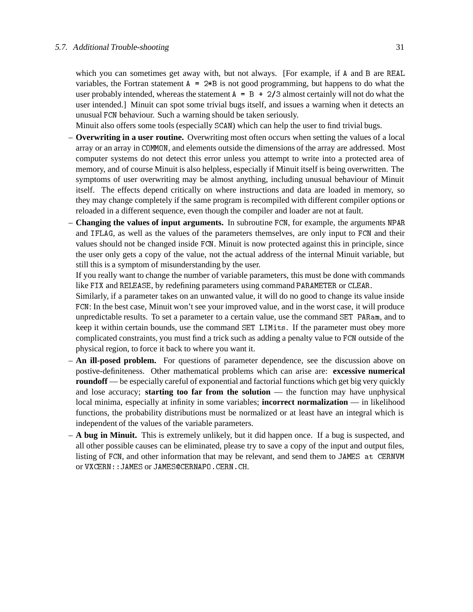which you can sometimes get away with, but not always. [For example, if <sup>A</sup> and <sup>B</sup> are REAL variables, the Fortran statement  $A = 2*B$  is not good programming, but happens to do what the user probably intended, whereas the statement  $A = B + 2/3$  almost certainly will not do what the user intended.] Minuit can spot some trivial bugs itself, and issues a warning when it detects an unusual FCN behaviour. Such a warning should be taken seriously.

Minuit also offers some tools (especially SCAN) which can help the user to find trivial bugs.

- **Overwriting in a user routine.** Overwriting most often occurs when setting the values of a local array or an array in COMMON, and elements outside the dimensions of the array are addressed. Most computer systems do not detect this error unless you attempt to write into a protected area of memory, and of course Minuit is also helpless, especially if Minuit itself is being overwritten. The symptoms of user overwriting may be almost anything, including unusual behaviour of Minuit itself. The effects depend critically on where instructions and data are loaded in memory, so they may change completely if the same program is recompiled with different compiler options or reloaded in a different sequence, even though the compiler and loader are not at fault.
- **Changing the values of input arguments.** In subroutine FCN, for example, the arguments NPAR and IFLAG, as well as the values of the parameters themselves, are only input to FCN and their values should not be changed inside FCN. Minuit is now protected against this in principle, since the user only gets a copy of the value, not the actual address of the internal Minuit variable, but still this is a symptom of misunderstanding by the user.

If you really want to change the number of variable parameters, this must be done with commands like FIX and RELEASE, by redefining parameters using command PARAMETER or CLEAR.

Similarly, if a parameter takes on an unwanted value, it will do no good to change its value inside FCN: In the best case, Minuit won't see your improved value, and in the worst case, it will produce unpredictable results. To set a parameter to a certain value, use the command SET PARam, and to keep it within certain bounds, use the command SET LIMits. If the parameter must obey more complicated constraints, you must find a trick such as adding a penalty value to FCN outside of the physical region, to force it back to where you want it.

- **An ill-posed problem.** For questions of parameter dependence, see the discussion above on postive-definiteness. Other mathematical problems which can arise are: **excessive numerical roundoff** — be especially careful of exponential and factorial functions which get big very quickly and lose accuracy; **starting too far from the solution** — the function may have unphysical local minima, especially at infinity in some variables; **incorrect normalization** — in likelihood functions, the probability distributions must be normalized or at least have an integral which is independent of the values of the variable parameters.
- **A bug in Minuit.** This is extremely unlikely, but it did happen once. If a bug is suspected, and all other possible causes can be eliminated, please try to save a copy of the input and output files, listing of FCN, and other information that may be relevant, and send them to JAMES at CERNVM or VXCERN::JAMES or JAMES@CERNAPO.CERN.CH.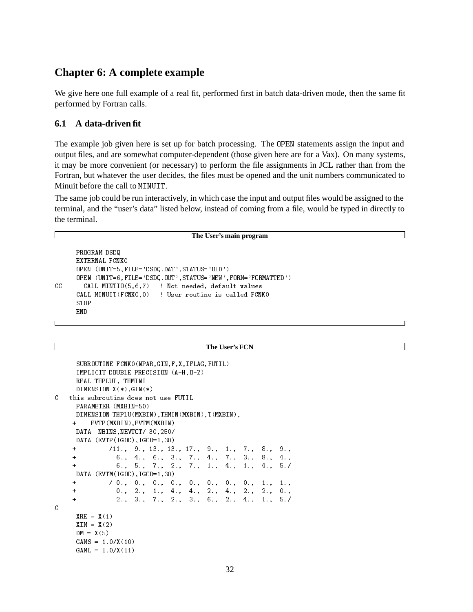## **Chapter 6: A complete example**

We give here one full example of a real fit, performed first in batch data-driven mode, then the same fit performed by Fortran calls.

### **6.1 A data-driven fit**

The example job given here is set up for batch processing. The OPEN statements assign the input and output files, and are somewhat computer-dependent (those given here are for a Vax). On many systems, it may be more convenient (or necessary) to perform the file assignments in JCL rather than from the Fortran, but whatever the user decides, the files must be opened and the unit numbers communicated to Minuit before the call to MINUIT.

The same job could be run interactively, in which case the input and output files would be assigned to the terminal, and the "user's data" listed below, instead of coming from a file, would be typed in directly to the terminal.

#### **The User's main program**

٦

```
PROGRAM DSDQ
     OPEN (UNIT=5,FILE='DSDQ.DAT',STATUS='OLD')
     OPEN (UNIT=6,FILE='DSDQ.OUT',STATUS='NEW',FORM='FORMATTED')
CC CALL MINTIO(5,6,7) ! Not needed, default values
     CALL MINUIT(FCNK0,0) ! User routine is called FCNK0
     STOP
     END
```
#### **The User's FCN**

```
SUBROUTINE FCNK0(NPAR,GIN,F,X,IFLAG,FUTIL)
     IMPLICIT DOUBLE PRECISION (A-H,O-Z)
     REAL THPLUI, THMINI
     DIMENSION X(*), GIN(*)\mathcal{C}this subroutine does not use FUTIL
     PARAMETER (MXBIN=50)
      PARAMETER (MXBIN=50)
     DIMENSION THPLU(MXBIN),THMIN(MXBIN),T(MXBIN),
        + EVTP(MXBIN),EVTM(MXBIN)
     +DATA NBINS,NEVTOT/ 30,250/
     DATA (EVTP(IGOD),IGOD=1,30)
     ++ /11., 9., 13., 13., 17., 9., 1., 7., 8., 9.,
                                                             9<sub>1</sub>+ 6., 4., 6., 3., 7., 4., 7., 3., 8., 4.,
     \ddot{+}+ 6., 5., 7., 2., 7., 1., 4., 1., 4., 5./
                                                              5.7DATA (EVTM(IGOD), IGOD=1,30)
     ++ / 0., 0., 0., 0., 0., 0., 0., 0., 1., 1.,
     ++ 0., 2., 1., 4., 4., 2., 4., 2., 2., 0.,
     \ddot{+}+ 2., 3., 7., 2., 3., 6., 2., 4., 1., 5./
\mathcal{C}XRE = X(1)XIM = X(2)DM = X(5)GAMS = 1.0/X(10)GAML = 1.0/X(11)
```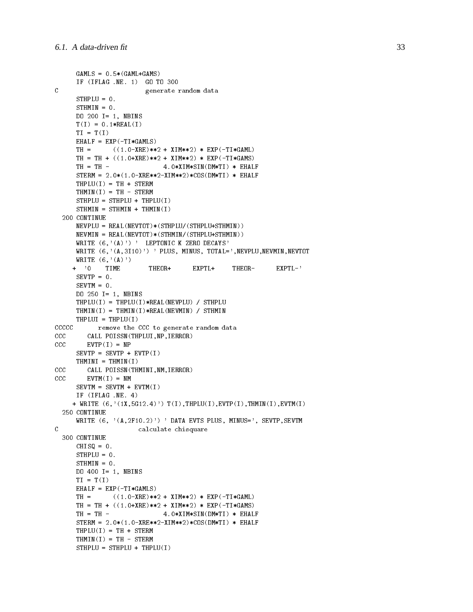```
GAMLS = 0.5*(GAML+GAMS)IF (IFLAG .NE. 1) GO TO 300
\mathcal{C}generate random data
       STHPLU = 0.
       STHMIN = 0.
       DO 200 I= 1, NBINS
       T(I) = 0.1 * REL(I)TI = T(I)EHALF = EXP(-TI*GAMLS)TH = ((1.0-XRE)*2 + XIM**2) * EXP(-TI*GAML)TH = TH + ((1.0+XRE)*2 + XIM**2) * EXP(-TI*GAMS)TH = TH - 4.0 * XIM * SIM(DM * TI) * EHALFSTERM = 2.0*(1.0-XRE**2-XIM**2)*COS(DM*TI) * EHALFTHPLU(I) = TH + STERMTHMIN(I) = TH - STERMSTHPLU = STHPLU + THPLU(I)STHMIN = STHMIN + THMIN(I)200 CONTINUE
       NEVPLU = REAL(NEVTOT)*(STHPLU/(STHPLU+STHMIN))
       NEVMIN = REAL(NEVTOT)*(STHMIN/(STHPLU+STHMIN))
       WRITE (6, '(\Lambda)') ' LEPTONIC K ZERO DECAYS'
       WRITE (6, ' (A, 3I10)') ' PLUS, MINUS, TOTAL=', NEVPLU, NEVMIN, NEVTOT
      WRITE (6,'(A)')+ '0 TIME THEOR+ EXPTL+ THEOR- EXPTL-'
       SEVTP = 0.
       SEVTM = 0.
       DO 250 I= 1, NBINS
       THPLU(I) = THPLU(I) * REAL(NEVPLU) / STHPLUTHMIN(I) = THMIN(I)*REAL(NEWIN) / STHMINTHPLUI = THPLU(I)CCCCC remove the CCC to generate random data
CCC CALL POISSN(THPLUI,NP,IERROR)
CCC EVTP(I) = NPSEVTP = SEVTP + EVTP(I)THMINI = THMIN(I)cccCALL POISSN(THMINI,NM,IERROR)
cccEVTM(I) = NMSEVTM = SEVTM + EVTM(I)IF (IFLAG .NE. 4)
      + WRITE (6,'(1X,5G12.4)') T(I),THPLU(I),EVTP(I),THMIN(I),EVTM(I)
  250 CONTINUE
       WRITE (6, ' (A, 2F10.2)') 'DATA EVTS PLUS, MINUS=', SEVTP, SEVTM
\mathcal{C}C calculate chisquare
  300 CONTINUE
       CHISQ = 0.
       STHPLU = 0.
       STHMIN = 0.
       DO 400 I= 1, NBINS
       TI = T(T)\blacksquare \blacksquare \blacksquare \blacksquare \blacksquare \blacksquare \blacksquare \blacksquare \blacksquare \blacksquare \blacksquare \blacksquare \blacksquare \blacksquare \blacksquare \blacksquare \blacksquare \blacksquare \blacksquare \blacksquare \blacksquare \blacksquare \blacksquare \blacksquare \blacksquare \blacksquare \blacksquare \blacksquare \blacksquare \blacksquare \blacksquare \blacksEHALF = EXP(-TI*GAMLS)TH = ((1.0 - XRE)**2 + XIM**2) * EXP(-TI*GAML)TH = TH + ((1.0+XRE)*2 + XIM**2) * EXP(-TI*GAMS)TH = TH - 4.0 * XIM * SIM(DM * TI) * EHALFSTERM = 2.0*(1.0-XRE**2-XIM**2)*COS(DM*TI) * EHALFTHPLU(I) = TH + STERMTHMIN(I) = TH - STERMSTHPLU = STHPLU + THPLU(I)
```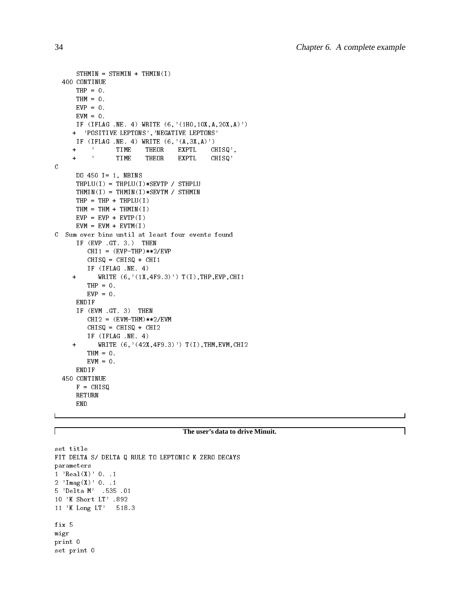```
STHMIN = STHMIN + THMIN(I)400 CONTINUE
     THP = 0.
     THM = 0.
     EVP = 0.
     EVM = 0.
     IF (IFLAG .NE. 4) WRITE (6,'(1H0,10X,A,20X,A)')+ 'POSITIVE LEPTONS','NEGATIVE LEPTONS'
     IF (IFLAG .NE. 4) WRITE (6, ' (A, 3X, A)')+ ' TIME THEOR EXPTL CHISQ',
    + ' TIME THEOR EXPTL CHISQ'
\mathtt{C}DO 450 I= 1, NBINS
     THPLU(I) = THPLU(I)*SEVTP / STHPLUTHMIN(I) = THMIN(I)*SEVTM / STHMINTHP = THP + THPLU(I)THM = THM + THMIN(I)EVP = EVP + EVTP(I)EVM = EVM + EVTM(I)C Sum over bins until at least four events found
     IF (EVP .GT. 3.) THEN
        CHI1 = (EVP-THP)**2/EVPCHISQ = CHISQ + CHI1IF (IFLAG .NE. 4)
    + WRITE (6,'(1X,4F9.3)') T(I),THP,EVP,CHI1
        THP = 0.
        EVP = 0.
     ENDIF
     IF (EVM .GT. 3) THEN
        CHI2 = (EVM-THM)**2/EVMCHISQ = CHISQ + CHI2
        IF (IFLAG .NE. 4)
    + WRITE (6,'(42X,4F9.3)') T(I),THM,EVM,CHI2
        THM = 0.
        EVM = 0.
     ENDIF
 450 CONTINUE
     F = CHISQRETURN
     END
```
#### **The user's data to drive Minuit.**

```
set title
FIT DELTA S/ DELTA Q RULE TO LEPTONIC K ZERO DECAYS
parameters
1 'Real(X)' 0. .1
2 \cdot Imag(X)\cdot 0. .1
5 'Delta M' .535 .01
10 'K Short LT' .892
11 'K Long LT' 518.3
fix 5
migr
print 0
set print 0
```
 $\Gamma$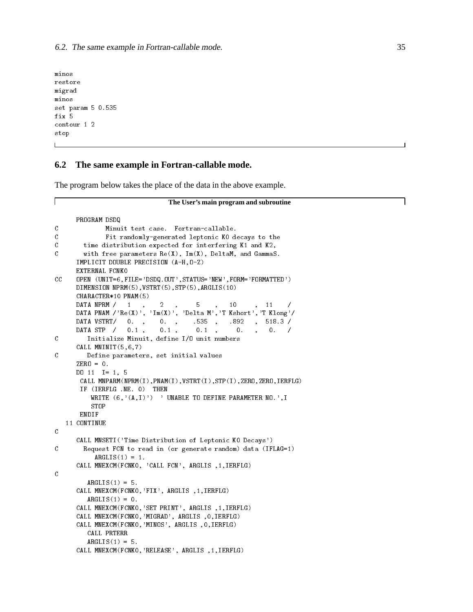restore migrad minos set param 5 0.535 fix 5 contour 1 2 stop

### **6.2 The same example in Fortran-callable mode.**

The program below takes the place of the data in the above example.

```
\mathbf IThe User's main program and subroutine
      PROGRAM DSDQ
\mathfrak cMinuit test case. Fortran-callable.
C Fit randomly-generated leptonic K0 decays to the
\mathcal{C}time distribution expected for interfering K1 and K2,
\mathfrak cwith free parameters \text{Re}(X), \text{Im}(X), \text{Delta}M, and \text{Gamma}S.
      IMPLICIT DOUBLE PRECISION (A-H,O-Z)
      EXTERNAL FCNK0
CC OPEN (UNIT=6,FILE='DSDQ.OUT',STATUS='NEW',FORM='FORMATTED')
      DIMENSION NPRM(5),VSTRT(5),STP(5),ARGLIS(10)
      CHARACTER*10 PNAM(5)
      DATA NPRM / 1, 2, 5, 10, 11
                             2^{\circ}DATA PNAM /'Re(X)', 'Im(X)', 'Delta M','T Kshort','T Klong'/
      DATA VSTRT/ 0., 0., .535, .892, 518.3/
      DATA STP / 0.1, 0.1, 0.1, 0. , 0. /
C Initialize Minuit, define I/O unit numbers
      CALL MNINIT(5,6,7)
\mathcal{C}Define parameters, set initial values
      ZERO = 0.
      DO 11 I= 1, 5
       CALL MNPARM(NPRM(I),PNAM(I),VSTRT(I),STP(I),ZERO,ZERO,IERFLG)
       IF (IERFLG .NE. 0) THEN
          WRITE (6, '(\text{A},\text{I})') ' UNABLE TO DEFINE PARAMETER NO.', I
          STOP
       ENDIF
   11 CONTINUE
\mathcal{C}CALL MNSETI('Time Distribution of Leptonic K0 Decays')
C Request FCN to read in (or generate random) data (IFLAG=1)
           ARGLIS(1) = 1.
      CALL MNEXCM(FCNK0, 'CALL FCN', ARGLIS ,1,IERFLG)
\mathcal{C}ARGLIS(1) = 5.
      CALL MNEXCM(FCNK0,'FIX', ARGLIS ,1,IERFLG)
         ARGLIS(1) = 0.
      CALL MNEXCM(FCNK0,'SET PRINT', ARGLIS ,1,IERFLG)
      CALL MNEXCM(FCNK0,'MIGRAD', ARGLIS ,0,IERFLG)
      CALL MNEXCM(FCNK0,'MINOS', ARGLIS ,0,IERFLG)
         CALL PRTERR
         ARGLIS(1) = 5.
```
CALL MNEXCM(FCNK0,'RELEASE', ARGLIS ,1,IERFLG)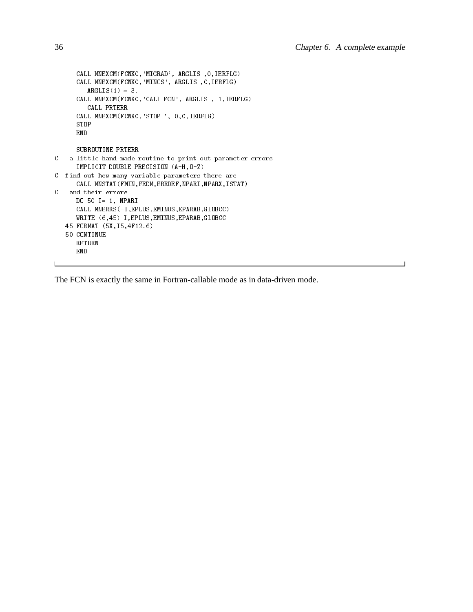```
CALL MNEXCM(FCNK0,'MIGRAD', ARGLIS ,0,IERFLG)
      CALL MNEXCM(FCNK0,'MINOS', ARGLIS ,0,IERFLG)
        ARGLIS(1) = 3.
      CALL MNEXCM(FCNK0,'CALL FCN', ARGLIS , 1,IERFLG)
        CALL PRTERR
      CALL MNEXCM(FCNK0,'STOP ', 0,0,IERFLG)
      STOP
      END
      SUBROUTINE PRTERR
C a little hand-made routine to print out parameter errors
      IMPLICIT DOUBLE PRECISION (A-H,O-Z)
C find out how many variable parameters there are
      CALL MNSTAT(FMIN,FEDM,ERRDEF,NPARI,NPARX,ISTAT)
   and their errors
\mathcal{C}DO 50 I= 1, NPARI
      CALL MNERRS(-I,EPLUS,EMINUS,EPARAB,GLOBCC)
     WRITE (6, 45) I, EPLUS, EMINUS, EPARAB, GLOBCC
   45 FORMAT (5X,I5,4F12.6)
   50 CONTINUE
      RETURN
      END
```
The FCN is exactly the same in Fortran-callable mode as in data-driven mode.

 $\mathbf{L}$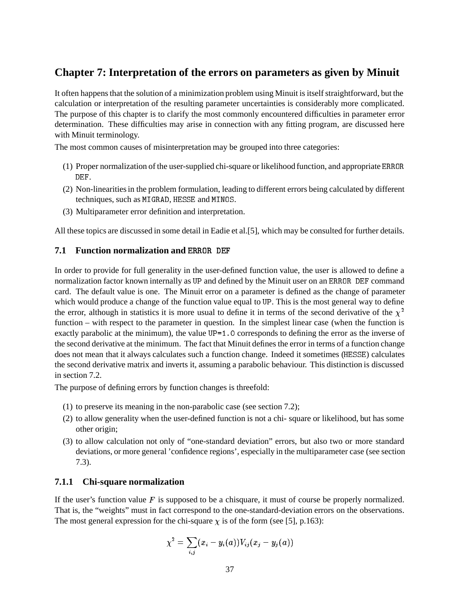## **Chapter 7: Interpretation of the errors on parameters as given by Minuit**

It often happens that the solution of a minimization problem using Minuit is itself straightforward, but the calculation or interpretation of the resulting parameter uncertainties is considerably more complicated. The purpose of this chapter is to clarify the most commonly encountered difficulties in parameter error determination. These difficulties may arise in connection with any fitting program, are discussed here with Minuit terminology.

The most common causes of misinterpretation may be grouped into three categories:

- (1) Proper normalization of the user-supplied chi-square or likelihood function, and appropriate ERROR DEF.
- (2) Non-linearities in the problem formulation, leading to different errors being calculated by different techniques, such as MIGRAD, HESSE and MINOS.
- (3) Multiparameter error definition and interpretation.

All these topics are discussed in some detail in Eadie et al.[5], which may be consulted for further details.

### **7.1 Function normalization and** ERROR DEF

In order to provide for full generality in the user-defined function value, the user is allowed to define a normalization factor known internally as UP and defined by the Minuit user on an ERROR DEF command card. The default value is one. The Minuit error on a parameter is defined as the change of parameter which would produce a change of the function value equal to UP. This is the most general way to define the error, although in statistics it is more usual to define it in terms of the second derivative of the  $\chi^2$ function – with respect to the parameter in question. In the simplest linear case (when the function is exactly parabolic at the minimum), the value UP=1.0 corresponds to defining the error as the inverse of the second derivative at the minimum. The fact that Minuit defines the error in terms of a function change does not mean that it always calculates such a function change. Indeed it sometimes (HESSE) calculates the second derivative matrix and inverts it, assuming a parabolic behaviour. This distinction is discussed in section 7.2.

The purpose of defining errors by function changes is threefold:

- (1) to preserve its meaning in the non-parabolic case (see section 7.2);
- (2) to allow generality when the user-defined function is not a chi- square or likelihood, but has some other origin;
- (3) to allow calculation not only of "one-standard deviation" errors, but also two or more standard deviations, or more general 'confidence regions', especially in the multiparameter case (see section 7.3).

### **7.1.1 Chi-square normalization**

If the user's function value  $F$  is supposed to be a chisquare, it must of course be properly normalized. That is, the "weights" must in fact correspond to the one-standard-deviation errors on the observations. The most general expression for the chi-square  $\chi$  is of the form (see [5], p.163):

$$
\chi^2=\sum_{i,j}(x_i-y_i(a))V_{ij}(x_j-y_j(a))
$$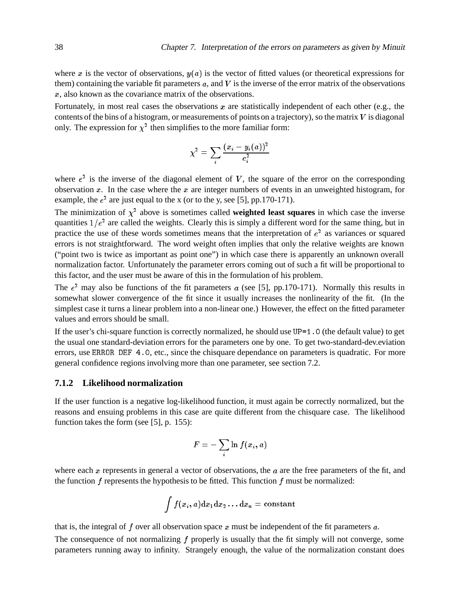where x is the vector of observations,  $y(a)$  is the vector of fitted values (or theoretical expressions for them) containing the variable fit parameters  $a$ , and  $V$  is the inverse of the error matrix of the observations <sup>x</sup>, also known as the covariance matrix of the observations.

Fortunately, in most real cases the observations  $x$  are statistically independent of each other (e.g., the contents of the bins of a histogram, or measurements of points on a trajectory), so the matrix  $V$  is diagonal only. The expression for  $\chi^2$  then simplifies to the more familiar form:

$$
\chi^2 = \sum_i \frac{(x_i - y_i(a))^2}{e_i^2}
$$

where  $e^2$  is the inverse of the diagonal element of V, the square of the error on the corresponding observation  $x$ . In the case where the  $x$  are integer numbers of events in an unweighted histogram, for example, the  $e^2$  are just equal to the x (or to the y, see [5], pp.170-171).

The minimization of  $\chi^2$  above is sometimes called **weighted least squares** in which case the inverse quantities  $1/e^2$  are called the weights. Clearly this is simply a different word for the same thing, but in practice the use of these words sometimes means that the interpretation of  $e<sup>2</sup>$  as variances or squared errors is not straightforward. The word weight often implies that only the relative weights are known ("point two is twice as important as point one") in which case there is apparently an unknown overall normalization factor. Unfortunately the parameter errors coming out of such a fit will be proportional to this factor, and the user must be aware of this in the formulation of his problem.

The  $e<sup>2</sup>$  may also be functions of the fit parameters a (see [5], pp.170-171). Normally this results in somewhat slower convergence of the fit since it usually increases the nonlinearity of the fit. (In the simplest case it turns a linear problem into a non-linear one.) However, the effect on the fitted parameter values and errors should be small.

If the user's chi-square function is correctly normalized, he should use UP=1.0 (the default value) to get the usual one standard-deviation errors for the parameters one by one. To get two-standard-dev.eviation errors, use ERROR DEF 4.0, etc., since the chisquare dependance on parameters is quadratic. For more general confidence regions involving more than one parameter, see section 7.2.

#### **7.1.2 Likelihood normalization**

If the user function is a negative log-likelihood function, it must again be correctly normalized, but the reasons and ensuing problems in this case are quite different from the chisquare case. The likelihood function takes the form (see [5], p. 155):

$$
F = -\sum_i \ln f(x_i, a)
$$

where each x represents in general a vector of observations, the  $\alpha$  are the free parameters of the fit, and the function  $f$  represents the hypothesis to be fitted. This function  $f$  must be normalized:

$$
\int f(x_i,a)\mathrm{d}x_1\mathrm{d}x_2\dots\mathrm{d}x_n=\text{constant}
$$

that is, the integral of  $f$  over all observation space  $x$  must be independent of the fit parameters  $a$ .

The consequence of not normalizing  $f$  properly is usually that the fit simply will not converge, some parameters running away to infinity. Strangely enough, the value of the normalization constant does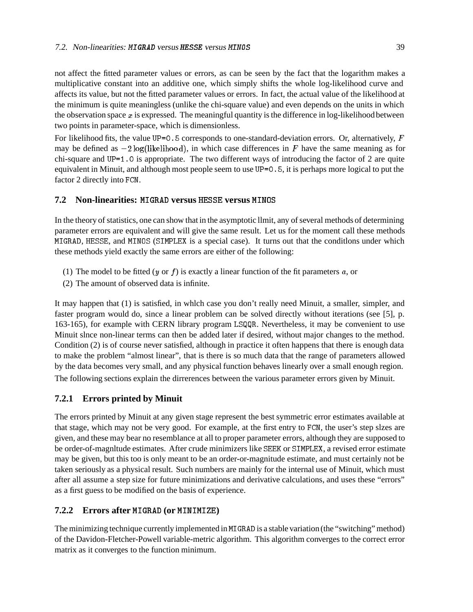not affect the fitted parameter values or errors, as can be seen by the fact that the logarithm makes a multiplicative constant into an additive one, which simply shifts the whole log-likelihood curve and affects its value, but not the fitted parameter values or errors. In fact, the actual value of the likelihood at the minimum is quite meaningless (unlike the chi-square value) and even depends on the units in which the observation space  $x$  is expressed. The meaningful quantity is the difference in log-likelihood between two points in parameter-space, which is dimensionless.

For likelihood fits, the value UP=0.5 corresponds to one-standard-deviation errors. Or, alternatively,  $F$ may be defined as  $-2 \log(\text{likelihood})$ , in which case differences in F have the same meaning as for chi-square and UP=1.0 is appropriate. The two different ways of introducing the factor of 2 are quite equivalent in Minuit, and although most people seem to use UP=0.5, it is perhaps more logical to put the factor 2 directly into FCN.

### **7.2 Non-linearities:** MIGRAD **versus** HESSE **versus** MINOS

In the theory of statistics, one can show that in the asymptotic llmit, any of several methods of determining parameter errors are equivalent and will give the same result. Let us for the moment call these methods MIGRAD, HESSE, and MINOS (SIMPLEX is a special case). It turns out that the conditlons under which these methods yield exactly the same errors are either of the following:

- (1) The model to be fitted  $(y \text{ or } f)$  is exactly a linear function of the fit parameters a, or
- (2) The amount of observed data is infinite.

It may happen that (1) is satisfied, in whlch case you don't really need Minuit, a smaller, simpler, and faster program would do, since a linear problem can be solved directly without iterations (see [5], p. 163-165), for example with CERN library program LSQQR. Nevertheless, it may be convenient to use Minuit slnce non-linear terms can then be added later if desired, without major changes to the method. Condition (2) is of course never satisfied, although in practice it often happens that there is enough data to make the problem "almost linear", that is there is so much data that the range of parameters allowed by the data becomes very small, and any physical function behaves linearly over a small enough region. The following sections explain the dirrerences between the various parameter errors given by Minuit.

## **7.2.1 Errors printed by Minuit**

The errors printed by Minuit at any given stage represent the best symmetric error estimates available at that stage, which may not be very good. For example, at the first entry to FCN, the user's step slzes are given, and these may bear no resemblance at all to proper parameter errors, although they are supposed to be order-of-magnltude estimates. After crude minimizers like SEEK or SIMPLEX, a revised error estimate may be given, but this too is only meant to be an order-or-magnitude estimate, and must certainly not be taken seriously as a physical result. Such numbers are mainly for the internal use of Minuit, which must after all assume a step size for future minimizations and derivative calculations, and uses these "errors" as a first guess to be modified on the basis of experience.

## **7.2.2 Errors after** MIGRAD **(or** MINIMIZE**)**

The minimizing technique currently implemented in MIGRAD is a stable variation (the "switching" method) of the Davidon-Fletcher-Powell variable-metric algorithm. This algorithm converges to the correct error matrix as it converges to the function minimum.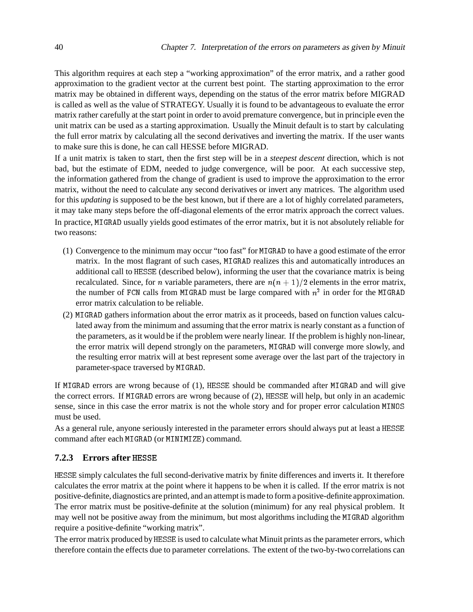This algorithm requires at each step a "working approximation" of the error matrix, and a rather good approximation to the gradient vector at the current best point. The starting approximation to the error matrix may be obtained in different ways, depending on the status of the error matrix before MIGRAD is called as well as the value of STRATEGY. Usually it is found to be advantageous to evaluate the error matrix rather carefully at the start point in order to avoid premature convergence, but in principle even the unit matrix can be used as a starting approximation. Usually the Minuit default is to start by calculating the full error matrix by calculating all the second derivatives and inverting the matrix. If the user wants to make sure this is done, he can call HESSE before MIGRAD.

If a unit matrix is taken to start, then the first step will be in a *steepest descent* direction, which is not bad, but the estimate of EDM, needed to judge convergence, will be poor. At each successive step, the information gathered from the change of gradient is used to improve the approximation to the error matrix, without the need to calculate any second derivatives or invert any matrices. The algorithm used for this *updating* is supposed to be the best known, but if there are a lot of highly correlated parameters, it may take many steps before the off-diagonal elements of the error matrix approach the correct values. In practice, MIGRAD usually yields good estimates of the error matrix, but it is not absolutely reliable for two reasons:

- (1) Convergence to the minimum may occur "too fast" for MIGRAD to have a good estimate of the error matrix. In the most flagrant of such cases, MIGRAD realizes this and automatically introduces an additional call to HESSE (described below), informing the user that the covariance matrix is being recalculated. Since, for *n* variable parameters, there are  $n(n + 1)/2$  elements in the error matrix, the number of FCN calls from MIGRAD must be large compared with  $n^2$  in order for the MIGRAD error matrix calculation to be reliable.
- (2) MIGRAD gathers information about the error matrix as it proceeds, based on function values calculated away from the minimum and assuming that the error matrix is nearly constant as a function of the parameters, as it would be if the problem were nearly linear. If the problem is highly non-linear, the error matrix will depend strongly on the parameters, MIGRAD will converge more slowly, and the resulting error matrix will at best represent some average over the last part of the trajectory in parameter-space traversed by MIGRAD.

If MIGRAD errors are wrong because of (1), HESSE should be commanded after MIGRAD and will give the correct errors. If MIGRAD errors are wrong because of (2), HESSE will help, but only in an academic sense, since in this case the error matrix is not the whole story and for proper error calculation MINOS must be used.

As a general rule, anyone seriously interested in the parameter errors should always put at least a HESSE command after each MIGRAD (or MINIMIZE) command.

## **7.2.3 Errors after** HESSE

HESSE simply calculates the full second-derivative matrix by finite differences and inverts it. It therefore calculates the error matrix at the point where it happens to be when it is called. If the error matrix is not positive-definite, diagnostics are printed, and an attempt is made to form a positive-definite approximation. The error matrix must be positive-definite at the solution (minimum) for any real physical problem. It may well not be positive away from the minimum, but most algorithms including the MIGRAD algorithm require a positive-definite "working matrix".

The error matrix produced by HESSE is used to calculate what Minuit prints as the parameter errors, which therefore contain the effects due to parameter correlations. The extent of the two-by-two correlations can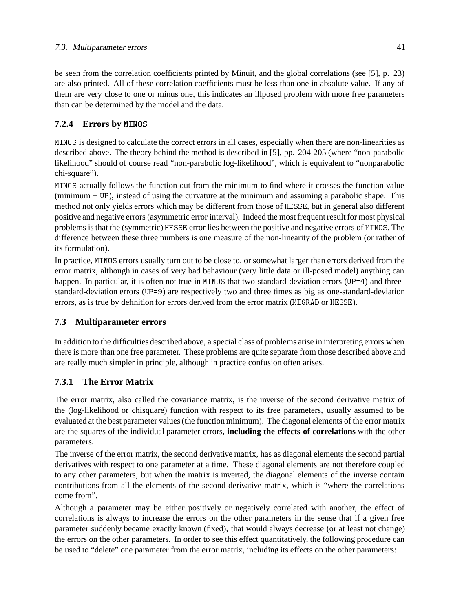be seen from the correlation coefficients printed by Minuit, and the global correlations (see [5], p. 23) are also printed. All of these correlation coefficients must be less than one in absolute value. If any of them are very close to one or minus one, this indicates an illposed problem with more free parameters than can be determined by the model and the data.

## **7.2.4 Errors by** MINOS

MINOS is designed to calculate the correct errors in all cases, especially when there are non-linearities as described above. The theory behind the method is described in [5], pp. 204-205 (where "non-parabolic likelihood" should of course read "non-parabolic log-likelihood", which is equivalent to "nonparabolic chi-square").

MINOS actually follows the function out from the minimum to find where it crosses the function value (minimum + UP), instead of using the curvature at the minimum and assuming a parabolic shape. This method not only yields errors which may be different from those of HESSE, but in general also different positive and negative errors (asymmetric error interval). Indeed the most frequent result for most physical problems is that the (symmetric) HESSE error lies between the positive and negative errors of MINOS. The difference between these three numbers is one measure of the non-linearity of the problem (or rather of its formulation).

In practice, MINOS errors usually turn out to be close to, or somewhat larger than errors derived from the error matrix, although in cases of very bad behaviour (very little data or ill-posed model) anything can happen. In particular, it is often not true in MINOS that two-standard-deviation errors (UP=4) and threestandard-deviation errors (UP=9) are respectively two and three times as big as one-standard-deviation errors, as is true by definition for errors derived from the error matrix (MIGRAD or HESSE).

## **7.3 Multiparameter errors**

In addition to the difficulties described above, a special class of problems arise in interpreting errors when there is more than one free parameter. These problems are quite separate from those described above and are really much simpler in principle, although in practice confusion often arises.

## **7.3.1 The Error Matrix**

The error matrix, also called the covariance matrix, is the inverse of the second derivative matrix of the (log-likelihood or chisquare) function with respect to its free parameters, usually assumed to be evaluated at the best parameter values (the function minimum). The diagonal elements of the error matrix are the squares of the individual parameter errors, **including the effects of correlations** with the other parameters.

The inverse of the error matrix, the second derivative matrix, has as diagonal elements the second partial derivatives with respect to one parameter at a time. These diagonal elements are not therefore coupled to any other parameters, but when the matrix is inverted, the diagonal elements of the inverse contain contributions from all the elements of the second derivative matrix, which is "where the correlations come from".

Although a parameter may be either positively or negatively correlated with another, the effect of correlations is always to increase the errors on the other parameters in the sense that if a given free parameter suddenly became exactly known (fixed), that would always decrease (or at least not change) the errors on the other parameters. In order to see this effect quantitatively, the following procedure can be used to "delete" one parameter from the error matrix, including its effects on the other parameters: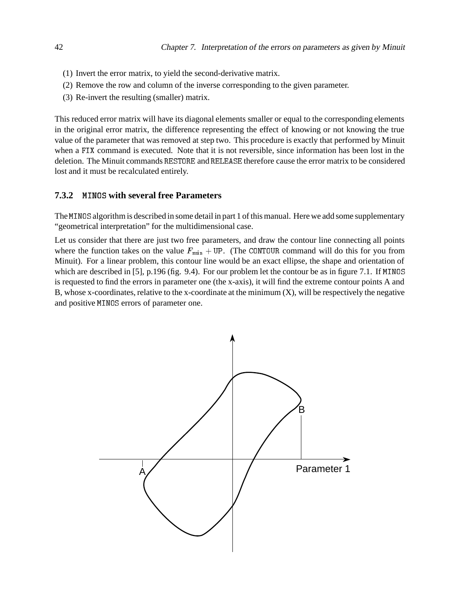- (1) Invert the error matrix, to yield the second-derivative matrix.
- (2) Remove the row and column of the inverse corresponding to the given parameter.
- (3) Re-invert the resulting (smaller) matrix.

This reduced error matrix will have its diagonal elements smaller or equal to the corresponding elements in the original error matrix, the difference representing the effect of knowing or not knowing the true value of the parameter that was removed at step two. This procedure is exactly that performed by Minuit when a FIX command is executed. Note that it is not reversible, since information has been lost in the deletion. The Minuit commands RESTORE and RELEASE therefore cause the error matrix to be considered lost and it must be recalculated entirely.

### **7.3.2** MINOS **with several free Parameters**

The MINOS algorithm is described in some detail in part 1 of this manual. Here we add some supplementary "geometrical interpretation" for the multidimensional case.

Let us consider that there are just two free parameters, and draw the contour line connecting all points where the function takes on the value  $F_{\text{min}} + \text{UP}$ . (The CONTOUR command will do this for you from Minuit). For a linear problem, this contour line would be an exact ellipse, the shape and orientation of which are described in [5], p.196 (fig. 9.4). For our problem let the contour be as in figure 7.1. If MINOS is requested to find the errors in parameter one (the x-axis), it will find the extreme contour points A and B, whose x-coordinates, relative to the x-coordinate at the minimum  $(X)$ , will be respectively the negative and positive MINOS errors of parameter one.

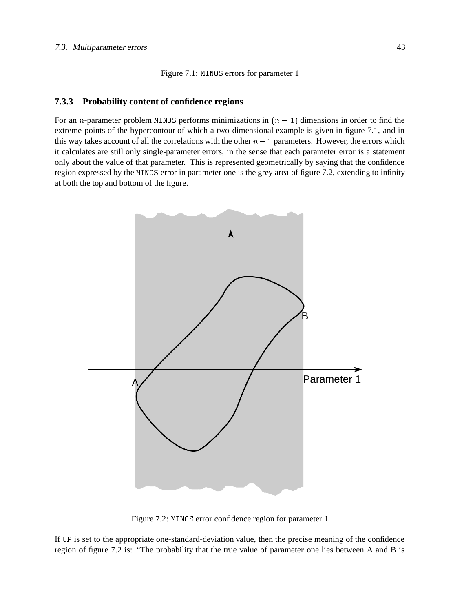Figure 7.1: MINOS errors for parameter 1

#### **7.3.3 Probability content of confidence regions**

For an *n*-parameter problem MINOS performs minimizations in  $(n - 1)$  dimensions in order to find the extreme points of the hypercontour of which a two-dimensional example is given in figure 7.1, and in this way takes account of all the correlations with the other  $n - 1$  parameters. However, the errors which it calculates are still only single-parameter errors, in the sense that each parameter error is a statement only about the value of that parameter. This is represented geometrically by saying that the confidence region expressed by the MINOS error in parameter one is the grey area of figure 7.2, extending to infinity at both the top and bottom of the figure.



Figure 7.2: MINOS error confidence region for parameter 1

If UP is set to the appropriate one-standard-deviation value, then the precise meaning of the confidence region of figure 7.2 is: "The probability that the true value of parameter one lies between A and B is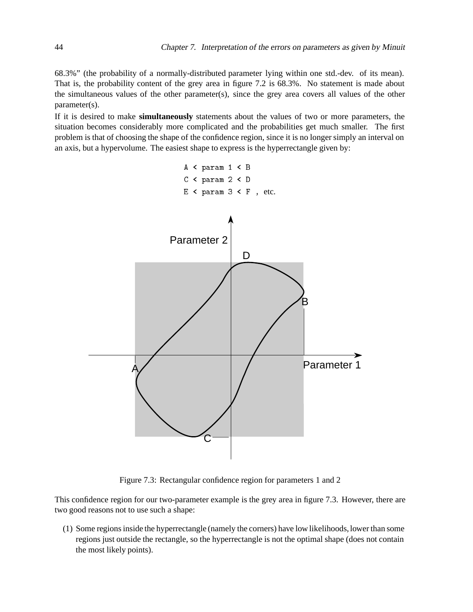68.3%" (the probability of a normally-distributed parameter lying within one std.-dev. of its mean). That is, the probability content of the grey area in figure 7.2 is 68.3%. No statement is made about the simultaneous values of the other parameter(s), since the grey area covers all values of the other parameter(s).

If it is desired to make **simultaneously** statements about the values of two or more parameters, the situation becomes considerably more complicated and the probabilities get much smaller. The first problem is that of choosing the shape of the confidence region, since it is no longer simply an interval on an axis, but a hypervolume. The easiest shape to express is the hyperrectangle given by:



Figure 7.3: Rectangular confidence region for parameters 1 and 2

This confidence region for our two-parameter example is the grey area in figure 7.3. However, there are two good reasons not to use such a shape:

(1) Some regions inside the hyperrectangle (namely the corners) have low likelihoods, lower than some regions just outside the rectangle, so the hyperrectangle is not the optimal shape (does not contain the most likely points).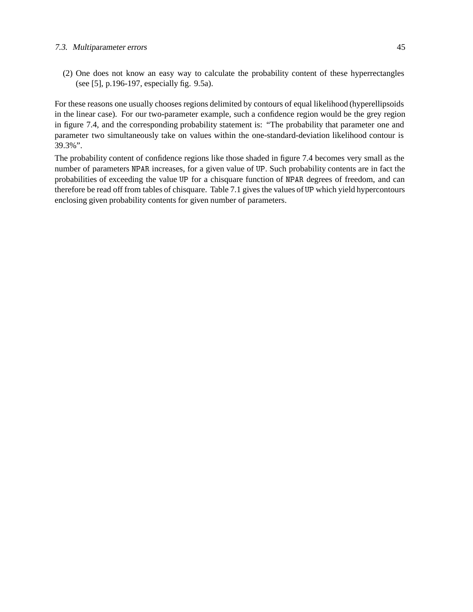#### 7.3. Multiparameter errors 45

(2) One does not know an easy way to calculate the probability content of these hyperrectangles (see [5], p.196-197, especially fig. 9.5a).

For these reasons one usually chooses regions delimited by contours of equal likelihood (hyperellipsoids in the linear case). For our two-parameter example, such a confidence region would be the grey region in figure 7.4, and the corresponding probability statement is: "The probability that parameter one and parameter two simultaneously take on values within the one-standard-deviation likelihood contour is 39.3%".

The probability content of confidence regions like those shaded in figure 7.4 becomes very small as the number of parameters NPAR increases, for a given value of UP. Such probability contents are in fact the probabilities of exceeding the value UP for a chisquare function of NPAR degrees of freedom, and can therefore be read off from tables of chisquare. Table 7.1 gives the values of UP which yield hypercontours enclosing given probability contents for given number of parameters.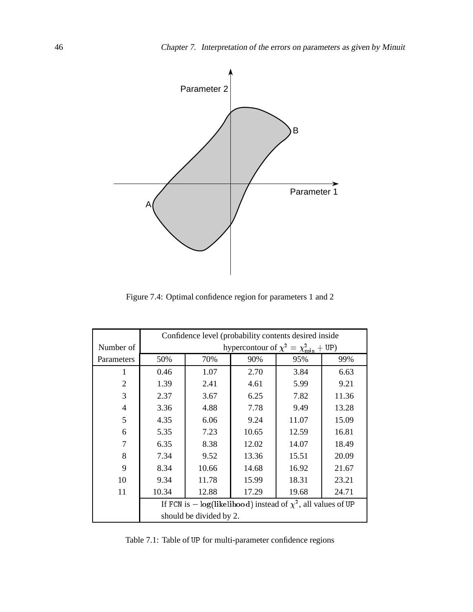

Figure 7.4: Optimal confidence region for parameters 1 and 2

|                | Confidence level (probability contents desired inside                 |       |       |       |       |
|----------------|-----------------------------------------------------------------------|-------|-------|-------|-------|
| Number of      | hypercontour of $\chi^2 = \chi^2_{\text{min}} + \text{UP}$ )          |       |       |       |       |
| Parameters     | 50%                                                                   | 70%   | 90%   | 95%   | 99%   |
| 1              | 0.46                                                                  | 1.07  | 2.70  | 3.84  | 6.63  |
| $\overline{2}$ | 1.39                                                                  | 2.41  | 4.61  | 5.99  | 9.21  |
| 3              | 2.37                                                                  | 3.67  | 6.25  | 7.82  | 11.36 |
| $\overline{4}$ | 3.36                                                                  | 4.88  | 7.78  | 9.49  | 13.28 |
| 5              | 4.35                                                                  | 6.06  | 9.24  | 11.07 | 15.09 |
| 6              | 5.35                                                                  | 7.23  | 10.65 | 12.59 | 16.81 |
| 7              | 6.35                                                                  | 8.38  | 12.02 | 14.07 | 18.49 |
| 8              | 7.34                                                                  | 9.52  | 13.36 | 15.51 | 20.09 |
| 9              | 8.34                                                                  | 10.66 | 14.68 | 16.92 | 21.67 |
| 10             | 9.34                                                                  | 11.78 | 15.99 | 18.31 | 23.21 |
| 11             | 10.34                                                                 | 12.88 | 17.29 | 19.68 | 24.71 |
|                | If FCN is $-\log$ (likelihood) instead of $\chi^2$ , all values of UP |       |       |       |       |
|                | should be divided by 2.                                               |       |       |       |       |

Table 7.1: Table of UP for multi-parameter confidence regions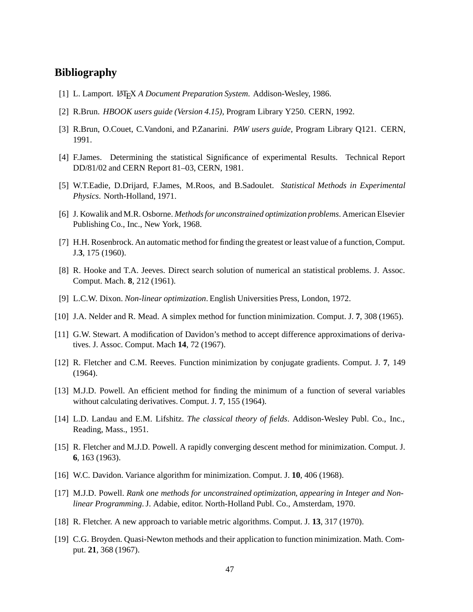## **Bibliography**

- [1] L. Lamport. LATEX *A Document Preparation System*. Addison-Wesley, 1986.
- [2] R.Brun. *HBOOK users guide (Version 4.15),* Program Library Y250. CERN, 1992.
- [3] R.Brun, O.Couet, C.Vandoni, and P.Zanarini. *PAW users guide,* Program Library Q121. CERN, 1991.
- [4] F.James. Determining the statistical Significance of experimental Results. Technical Report DD/81/02 and CERN Report 81–03, CERN, 1981.
- [5] W.T.Eadie, D.Drijard, F.James, M.Roos, and B.Sadoulet. *Statistical Methods in Experimental Physics*. North-Holland, 1971.
- [6] J. Kowalik and M.R. Osborne. *Methods for unconstrained optimization problems*. American Elsevier Publishing Co., Inc., New York, 1968.
- [7] H.H. Rosenbrock. An automatic method for finding the greatest or least value of a function, Comput. J.**3**, 175 (1960).
- [8] R. Hooke and T.A. Jeeves. Direct search solution of numerical an statistical problems. J. Assoc. Comput. Mach. **8**, 212 (1961).
- [9] L.C.W. Dixon. *Non-linear optimization*. English Universities Press, London, 1972.
- [10] J.A. Nelder and R. Mead. A simplex method for function minimization. Comput. J. **7**, 308 (1965).
- [11] G.W. Stewart. A modification of Davidon's method to accept difference approximations of derivatives. J. Assoc. Comput. Mach **14**, 72 (1967).
- [12] R. Fletcher and C.M. Reeves. Function minimization by conjugate gradients. Comput. J. **7**, 149 (1964).
- [13] M.J.D. Powell. An efficient method for finding the minimum of a function of several variables without calculating derivatives. Comput. J. **7**, 155 (1964).
- [14] L.D. Landau and E.M. Lifshitz. *The classical theory of fields*. Addison-Wesley Publ. Co., Inc., Reading, Mass., 1951.
- [15] R. Fletcher and M.J.D. Powell. A rapidly converging descent method for minimization. Comput. J. **6**, 163 (1963).
- [16] W.C. Davidon. Variance algorithm for minimization. Comput. J. **10**, 406 (1968).
- [17] M.J.D. Powell. *Rank one methods for unconstrained optimization, appearing in Integer and Nonlinear Programming*. J. Adabie, editor. North-Holland Publ. Co., Amsterdam, 1970.
- [18] R. Fletcher. A new approach to variable metric algorithms. Comput. J. **13**, 317 (1970).
- [19] C.G. Broyden. Quasi-Newton methods and their application to function minimization. Math. Comput. **21**, 368 (1967).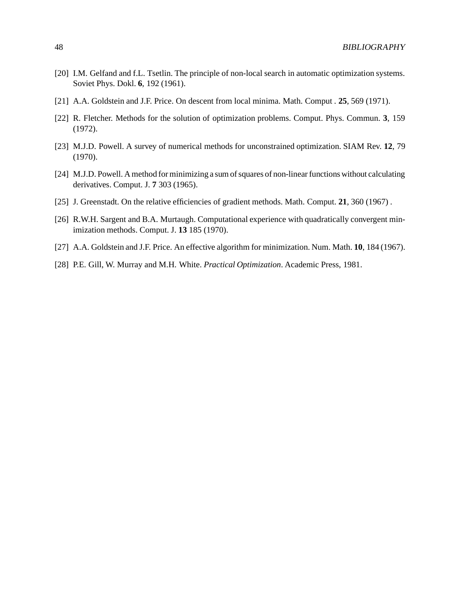- [20] I.M. Gelfand and f.L. Tsetlin. The principle of non-local search in automatic optimization systems. Soviet Phys. Dokl. **6**, 192 (1961).
- [21] A.A. Goldstein and J.F. Price. On descent from local minima. Math. Comput . **25**, 569 (1971).
- [22] R. Fletcher. Methods for the solution of optimization problems. Comput. Phys. Commun. **3**, 159 (1972).
- [23] M.J.D. Powell. A survey of numerical methods for unconstrained optimization. SIAM Rev. **12**, 79 (1970).
- [24] M.J.D. Powell. A method for minimizing a sum of squares of non-linear functions without calculating derivatives. Comput. J. **7** 303 (1965).
- [25] J. Greenstadt. On the relative efficiencies of gradient methods. Math. Comput. **21**, 360 (1967) .
- [26] R.W.H. Sargent and B.A. Murtaugh. Computational experience with quadratically convergent minimization methods. Comput. J. **13** 185 (1970).
- [27] A.A. Goldstein and J.F. Price. An effective algorithm for minimization. Num. Math. **10**, 184 (1967).
- [28] P.E. Gill, W. Murray and M.H. White. *Practical Optimization*. Academic Press, 1981.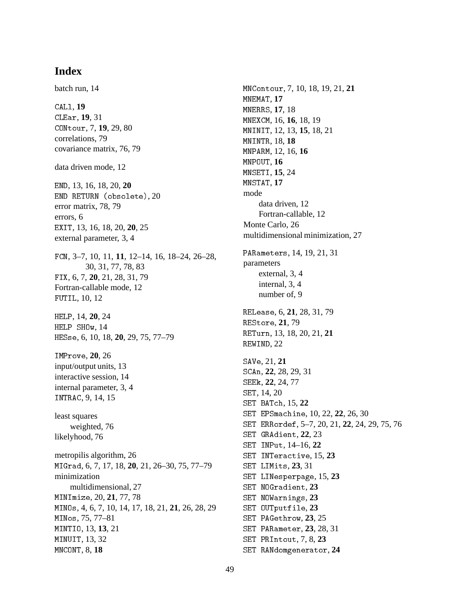# **Index**

batch run, 14 CALl, **19** CLEar, **19**, 31 CONtour, 7, **19**, 29, 80 correlations, 79 covariance matrix, 76, 79 data driven mode, 12 END, 13, 16, 18, 20, **20** END RETURN (obsolete), 20 error matrix, 78, 79 errors, 6 EXIT, 13, 16, 18, 20, **20**, 25 external parameter, 3, 4 FCN, 3–7, 10, 11, **11**, 12–14, 16, 18–24, 26–28, 30, 31, 77, 78, 83 FIX, 6, 7, **20**, 21, 28, 31, 79 Fortran-callable mode, 12 FUTIL, 10, 12 HELP, 14, **20**, 24 HELP SHOw, 14 HESse, 6, 10, 18, **20**, 29, 75, 77–79 IMProve, **20**, 26 input/output units, 13 interactive session, 14 internal parameter, 3, 4 INTRAC, 9, 14, 15 least squares weighted, 76 likelyhood, 76 metropilis algorithm, 26 MIGrad, 6, 7, 17, 18, **20**, 21, 26–30, 75, 77–79 minimization multidimensional, 27 MINImize, 20, **21**, 77, 78 MINOs, 4, 6, 7, 10, 14, 17, 18, 21, **21**, 26, 28, 29 MINos, 75, 77–81 MINTIO, 13, **13**, 21 MINUIT, 13, 32 MNCONT, 8, **18**

MNContour, 7, 10, 18, 19, 21, **21** MNEMAT, **17** MNERRS, **17**, 18 MNEXCM, 16, **16**, 18, 19 MNINIT, 12, 13, **15**, 18, 21 MNINTR, 18, **18** MNPARM, 12, 16, **16** MNPOUT, **16** MNSETI, **15**, 24 MNSTAT, **17** mode data driven, 12 Fortran-callable, 12 Monte Carlo, 26 multidimensional minimization, 27 PARameters, 14, 19, 21, 31 parameters external, 3, 4 internal, 3, 4 number of, 9 RELease, 6, **21**, 28, 31, 79 REStore, **21**, 79 RETurn, 13, 18, 20, 21, **21** REWIND, 22 SAVe, 21, **21** SCAn, **22**, 28, 29, 31 SEEk, **22**, 24, 77 SET, 14, 20 SET BATch, 15, **22** SET EPSmachine, 10, 22, **22**, 26, 30 SET ERRordef, 5–7, 20, 21, **22**, 24, 29, 75, 76 SET GRAdient, **22**, 23 SET INPut, 14–16, **22** SET INTeractive, 15, **23** SET LIMits, **23**, 31 SET LINesperpage, 15, **23** SET NOGradient, **23** SET NOWarnings, **23** SET OUTputfile, **23** SET PAGethrow, **23**, 25 SET PARameter, **23**, 28, 31 SET PRIntout, 7, 8, **23**